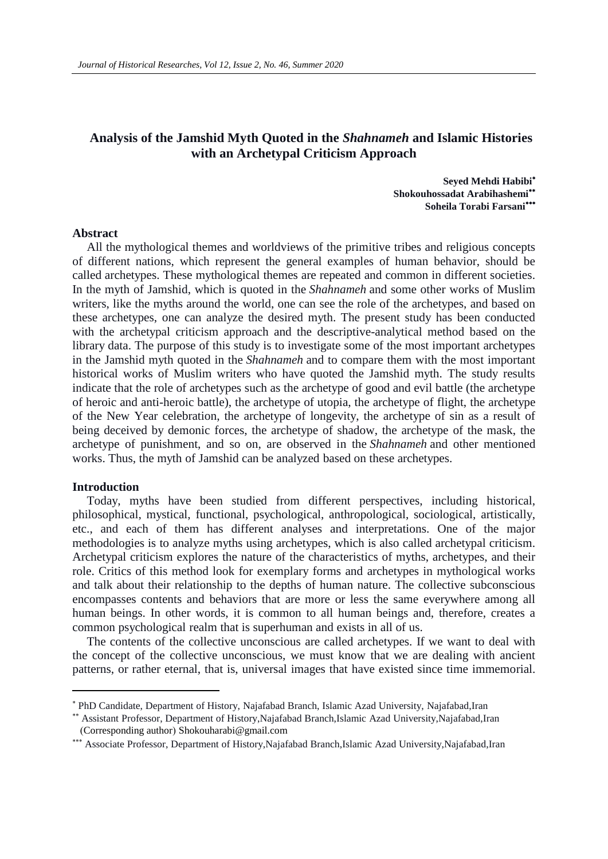### **Analysis of the Jamshid Myth Quoted in the** *Shahnameh* **and Islamic Histories with an Archetypal Criticism Approach**

**Seyed Mehdi Habibi Shokouhossadat Arabihashemi Soheila Torabi Farsani**

### **Abstract**

All the mythological themes and worldviews of the primitive tribes and religious concepts of different nations, which represent the general examples of human behavior, should be called archetypes. These mythological themes are repeated and common in different societies. In the myth of Jamshid, which is quoted in the *Shahnameh* and some other works of Muslim writers, like the myths around the world, one can see the role of the archetypes, and based on these archetypes, one can analyze the desired myth. The present study has been conducted with the archetypal criticism approach and the descriptive-analytical method based on the library data. The purpose of this study is to investigate some of the most important archetypes in the Jamshid myth quoted in the *Shahnameh* and to compare them with the most important historical works of Muslim writers who have quoted the Jamshid myth. The study results indicate that the role of archetypes such as the archetype of good and evil battle (the archetype of heroic and anti-heroic battle), the archetype of utopia, the archetype of flight, the archetype of the New Year celebration, the archetype of longevity, the archetype of sin as a result of being deceived by demonic forces, the archetype of shadow, the archetype of the mask, the archetype of punishment, and so on, are observed in the *Shahnameh* and other mentioned works. Thus, the myth of Jamshid can be analyzed based on these archetypes.

#### **Introduction**

 $\overline{a}$ 

Today, myths have been studied from different perspectives, including historical, philosophical, mystical, functional, psychological, anthropological, sociological, artistically, etc., and each of them has different analyses and interpretations. One of the major methodologies is to analyze myths using archetypes, which is also called archetypal criticism. Archetypal criticism explores the nature of the characteristics of myths, archetypes, and their role. Critics of this method look for exemplary forms and archetypes in mythological works and talk about their relationship to the depths of human nature. The collective subconscious encompasses contents and behaviors that are more or less the same everywhere among all human beings. In other words, it is common to all human beings and, therefore, creates a common psychological realm that is superhuman and exists in all of us.

The contents of the collective unconscious are called archetypes. If we want to deal with the concept of the collective unconscious, we must know that we are dealing with ancient patterns, or rather eternal, that is, universal images that have existed since time immemorial.

PhD Candidate, Department of History, Najafabad Branch, Islamic Azad University, Najafabad,Iran

Assistant Professor, Department of History,Najafabad Branch,Islamic Azad University,Najafabad,Iran (Corresponding author) [Shokouharabi@gmail.com](mailto:Shokouharabi@gmail.com)

Associate Professor, Department of History,Najafabad Branch,Islamic Azad University,Najafabad,Iran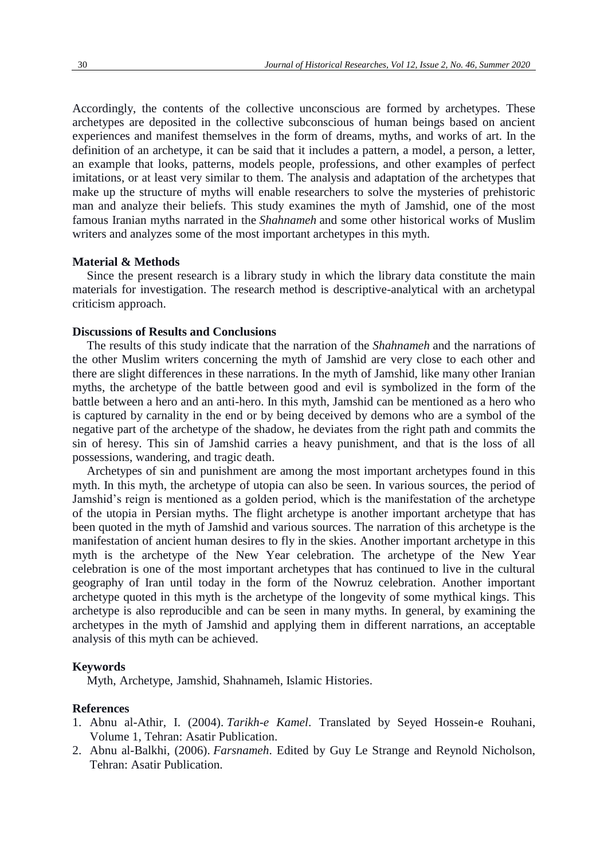Accordingly, the contents of the collective unconscious are formed by archetypes. These archetypes are deposited in the collective subconscious of human beings based on ancient experiences and manifest themselves in the form of dreams, myths, and works of art. In the definition of an archetype, it can be said that it includes a pattern, a model, a person, a letter, an example that looks, patterns, models people, professions, and other examples of perfect imitations, or at least very similar to them. The analysis and adaptation of the archetypes that make up the structure of myths will enable researchers to solve the mysteries of prehistoric man and analyze their beliefs. This study examines the myth of Jamshid, one of the most famous Iranian myths narrated in the *Shahnameh* and some other historical works of Muslim writers and analyzes some of the most important archetypes in this myth.

### **Material & Methods**

Since the present research is a library study in which the library data constitute the main materials for investigation. The research method is descriptive-analytical with an archetypal criticism approach.

### **Discussions of Results and Conclusions**

The results of this study indicate that the narration of the *Shahnameh* and the narrations of the other Muslim writers concerning the myth of Jamshid are very close to each other and there are slight differences in these narrations. In the myth of Jamshid, like many other Iranian myths, the archetype of the battle between good and evil is symbolized in the form of the battle between a hero and an anti-hero. In this myth, Jamshid can be mentioned as a hero who is captured by carnality in the end or by being deceived by demons who are a symbol of the negative part of the archetype of the shadow, he deviates from the right path and commits the sin of heresy. This sin of Jamshid carries a heavy punishment, and that is the loss of all possessions, wandering, and tragic death.

Archetypes of sin and punishment are among the most important archetypes found in this myth. In this myth, the archetype of utopia can also be seen. In various sources, the period of Jamshid's reign is mentioned as a golden period, which is the manifestation of the archetype of the utopia in Persian myths. The flight archetype is another important archetype that has been quoted in the myth of Jamshid and various sources. The narration of this archetype is the manifestation of ancient human desires to fly in the skies. Another important archetype in this myth is the archetype of the New Year celebration. The archetype of the New Year celebration is one of the most important archetypes that has continued to live in the cultural geography of Iran until today in the form of the Nowruz celebration. Another important archetype quoted in this myth is the archetype of the longevity of some mythical kings. This archetype is also reproducible and can be seen in many myths. In general, by examining the archetypes in the myth of Jamshid and applying them in different narrations, an acceptable analysis of this myth can be achieved.

### **Keywords**

Myth, Archetype, Jamshid, Shahnameh, Islamic Histories.

### **References**

- 1. Abnu al-Athir, I. (2004). *Tarikh-e Kamel*. Translated by Seyed Hossein-e Rouhani, Volume 1, Tehran: Asatir Publication.
- 2. Abnu al-Balkhi, (2006). *Farsnameh*. Edited by Guy Le Strange and Reynold Nicholson, Tehran: Asatir Publication.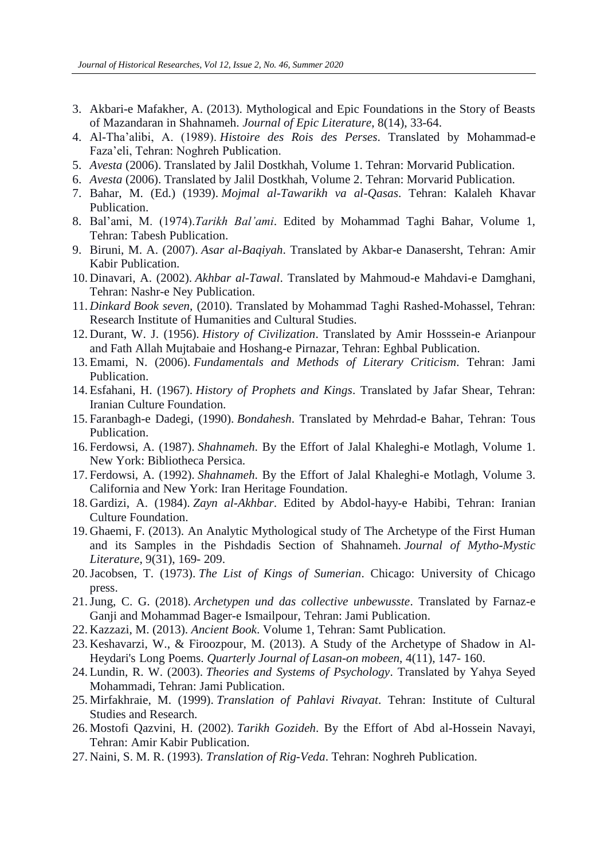- 3. Akbari-e Mafakher, A. (2013). Mythological and Epic Foundations in the Story of Beasts of Mazandaran in Shahnameh. *Journal of Epic Literature*, 8(14), 33-64.
- 4. Al-Tha'alibi, A. (1989). *Histoire des Rois des Perses*. Translated by Mohammad-e Faza'eli, Tehran: Noghreh Publication.
- 5. *Avesta* (2006). Translated by Jalil Dostkhah, Volume 1. Tehran: Morvarid Publication.
- 6. *Avesta* (2006). Translated by Jalil Dostkhah, Volume 2. Tehran: Morvarid Publication.
- 7. Bahar, M. (Ed.) (1939). *Mojmal al-Tawarikh va al-Qasas*. Tehran: Kalaleh Khavar Publication.
- 8. Bal'ami, M. (1974).*Tarikh Bal'ami*. Edited by Mohammad Taghi Bahar, Volume 1, Tehran: Tabesh Publication.
- 9. Biruni, M. A. (2007). *Asar al-Baqiyah*. Translated by Akbar-e Danasersht, Tehran: Amir Kabir Publication.
- 10. Dinavari, A. (2002). *Akhbar al-Tawal*. Translated by Mahmoud-e Mahdavi-e Damghani, Tehran: Nashr-e Ney Publication.
- 11. *Dinkard Book seven*, (2010). Translated by Mohammad Taghi Rashed-Mohassel, Tehran: Research Institute of Humanities and Cultural Studies.
- 12. Durant, W. J. (1956). *History of Civilization*. Translated by Amir Hosssein-e Arianpour and Fath Allah Mujtabaie and Hoshang-e Pirnazar, Tehran: Eghbal Publication.
- 13. Emami, N. (2006). *Fundamentals and Methods of Literary Criticism*. Tehran: Jami Publication.
- 14. Esfahani, H. (1967). *History of Prophets and Kings*. Translated by Jafar Shear, Tehran: Iranian Culture Foundation.
- 15. Faranbagh-e Dadegi, (1990). *Bondahesh*. Translated by Mehrdad-e Bahar, Tehran: Tous Publication.
- 16. Ferdowsi, A. (1987). *Shahnameh*. By the Effort of Jalal Khaleghi-e Motlagh, Volume 1. New York: Bibliotheca Persica.
- 17. Ferdowsi, A. (1992). *Shahnameh*. By the Effort of Jalal Khaleghi-e Motlagh, Volume 3. California and New York: Iran Heritage Foundation.
- 18. Gardizi, A. (1984). *Zayn al-Akhbar*. Edited by Abdol-hayy-e Habibi, Tehran: Iranian Culture Foundation.
- 19. Ghaemi, F. (2013). An Analytic Mythological study of The Archetype of the First Human and its Samples in the Pishdadis Section of Shahnameh. *Journal of Mytho-Mystic Literature*, 9(31), 169- 209.
- 20.Jacobsen, T. (1973). *The List of Kings of Sumerian*. Chicago: University of Chicago press.
- 21.Jung, C. G. (2018). *Archetypen und das collective unbewusste*. Translated by Farnaz-e Ganji and Mohammad Bager-e Ismailpour, Tehran: Jami Publication.
- 22. Kazzazi, M. (2013). *Ancient Book*. Volume 1, Tehran: Samt Publication.
- 23. Keshavarzi, W., & Firoozpour, M. (2013). A Study of the Archetype of Shadow in Al-Heydari's Long Poems. *Quarterly Journal of Lasan-on mobeen*, 4(11), 147- 160.
- 24. Lundin, R. W. (2003). *Theories and Systems of Psychology*. Translated by Yahya Seyed Mohammadi, Tehran: Jami Publication.
- 25. Mirfakhraie, M. (1999). *Translation of Pahlavi Rivayat*. Tehran: Institute of Cultural Studies and Research.
- 26. Mostofi Qazvini, H. (2002). *Tarikh Gozideh*. By the Effort of Abd al-Hossein Navayi, Tehran: Amir Kabir Publication.
- 27. Naini, S. M. R. (1993). *Translation of Rig-Veda*. Tehran: Noghreh Publication.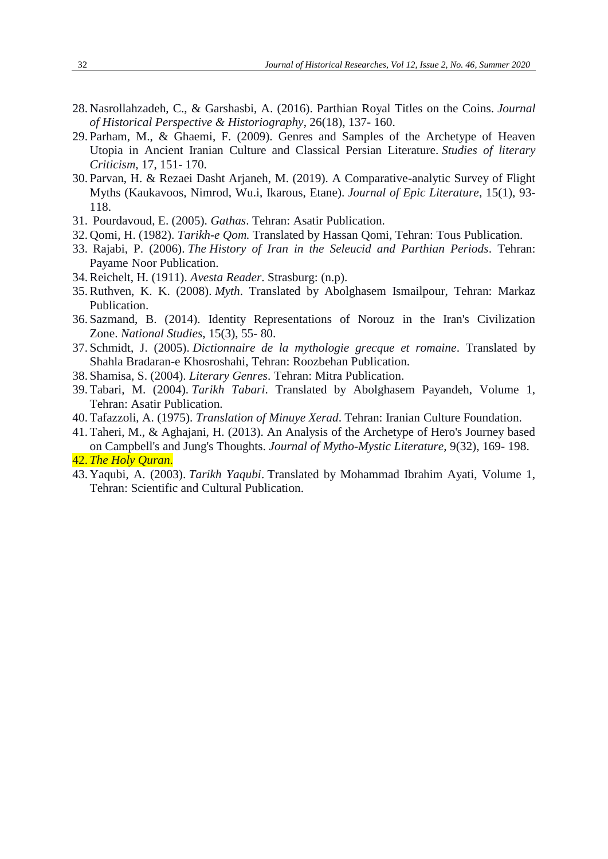- 28. Nasrollahzadeh, C., & Garshasbi, A. (2016). Parthian Royal Titles on the Coins. *Journal of Historical Perspective & Historiography*, 26(18), 137- 160.
- 29. Parham, M., & Ghaemi, F. (2009). Genres and Samples of the Archetype of Heaven Utopia in Ancient Iranian Culture and Classical Persian Literature. *Studies of literary Criticism*, 17, 151- 170.
- 30. Parvan, H. & Rezaei Dasht Arjaneh, M. (2019). A Comparative-analytic Survey of Flight Myths (Kaukavoos, Nimrod, Wu.i, Ikarous, Etane). *Journal of Epic Literature*, 15(1), 93- 118.
- 31. Pourdavoud, E. (2005). *Gathas*. Tehran: Asatir Publication.
- 32. Qomi, H. (1982). *Tarikh-e Qom.* Translated by Hassan Qomi, Tehran: Tous Publication.
- 33. Rajabi, P. (2006). *The History of Iran in the Seleucid and Parthian Periods*. Tehran: Payame Noor Publication.
- 34. Reichelt, H. (1911). *Avesta Reader*. Strasburg: (n.p).
- 35. Ruthven, K. K. (2008). *Myth*. Translated by Abolghasem Ismailpour, Tehran: Markaz Publication.
- 36. Sazmand, B. (2014). Identity Representations of Norouz in the Iran's Civilization Zone. *National Studies*, 15(3), 55- 80.
- 37. Schmidt, J. (2005). *Dictionnaire de la mythologie grecque et romaine*. Translated by Shahla Bradaran-e Khosroshahi, Tehran: Roozbehan Publication.
- 38. Shamisa, S. (2004). *Literary Genres*. Tehran: Mitra Publication.
- 39. Tabari, M. (2004). *Tarikh Tabari*. Translated by Abolghasem Payandeh, Volume 1, Tehran: Asatir Publication.
- 40. Tafazzoli, A. (1975). *Translation of Minuye Xerad*. Tehran: Iranian Culture Foundation.
- 41. Taheri, M., & Aghajani, H. (2013). An Analysis of the Archetype of Hero's Journey based on Campbell's and Jung's Thoughts. *Journal of Mytho-Mystic Literature*, 9(32), 169- 198. 42. *The Holy Quran*.
- 43. Yaqubi, A. (2003). *Tarikh Yaqubi*. Translated by Mohammad Ibrahim Ayati, Volume 1, Tehran: Scientific and Cultural Publication.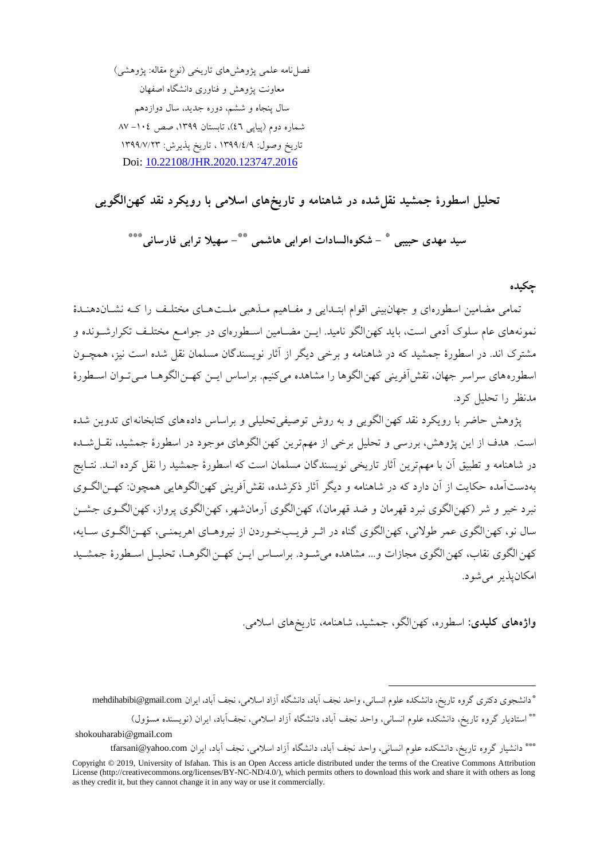فصل نامه علمی پژوهش های تاریخی (نوع مقاله: پژوهشی) معاونت پژوهش و فناوری دانشگاه اصفهان سال پنجاه و ششم، دوره جدید، سال دوازدهم شماره دوم (پیاپی ٤٦)، تابستان ١٣٩٩، صص ١٠٤– ٨٧ تاریخ وصول: 1399/4/9 ، تاریخ پهیرش: 1399/7/23 Doi: [10.22108/JHR.2020.123747.2016](https://jhr.ui.ac.ir/article_25170.html)

## **تحلیل اسطورۀ جمشید نقلشده در شاهنامه و تاریخهای اسالمی با رویکرد نقد کهنالگویی**

**- شکوهالسادات اعرابی هاشمی \* سید مهدی حبیبی - سهیال ترابی فارسانی \*\*** \*\*\*

**چکیده**

تمامی مضامین اسطورهای و جهانبینی اقوام ابتـدایی و مفـاهیم مـذهبی ملـتهـای مختلـف را کـه نشـاندهنـدهٔ نمونههای عام سلوک آدمی است، باید کهنالگو نامید. ایــن مضــامین اســطورهای در جوامــع مختلــف تکرارشــونده و مشترک اند. در اسطورۀ جمشید که در شاهنامه و برخی دیگر از آثار نویسندگان مسلمان نقل شده است نیز، همچـون اسطوره های سراسر جهان، نقش آفرینی کهن الگوها را مشاهده می کنیم. براساس ایـن کهـن الگوهـا مـی تـوان اسـطورهٔ مانظر را تحلیل کرد.

پژوهش حاضر با رویکرد نقد کهن الگویی و به روش توصیفی تحلیلی و براساس داده های کتابخانه ای تدوین شده است. هدف از این پژوهش، بررسی و تحلیل برخی از مهمترین کهن الگوهای موجود در اسطورۀ جمشید، نقــل شــده در شاهنامه و تطبیق آن با مهمترین آثار تاریخی نویسندگان مسلمان است که اسطورۀ جمشید را نقل کرده انــد. نتــایج به دستآمده حکایت از آن دارد که در شاهنامه و دیگر آثار ذکرشده، نقش آفرینی کهن الگوهایی همچون: کهـن الگـوی نبرد خیر و شر (کهن الگوی نبرد قهرمان و ضد قهرمان)، کهن الگوی آرمانشهر، کهن الگوی پرواز، کهن الگـوی جشـن سال نو، کهن الگوی عمر طولانی، کهن الگوی گناه در اثـر فریـبخـوردن از نیروهـای اهریمنـی، کهـن الگـوی سـایه، کهن الگوی نقاب، کهن الگوی مجازات و... مشاهده می شـود. براسـاس ایـن کهـن الگوهـا، تحلیـل اسـطورۀ جمشـید امکانپذیر می شود.

**واژههای کلیدی:** اسطوره، کهنالگو، جمشیا، شا نام ، تاریخ ای اسالمی.

1

\*\*\* دانشیار گروه تاریخ، دانشکده علوم انسانی، واحد نجف آباد، دانشگاه آزاد اسلامی، نجف آباد، ایران tfarsani@yahoo.com

<sup>\*</sup>دانشجوی دکتری گروه تاریخ، دانشکده علوم انسانی، واحد نجف آباد، دانشگاه آزاد اسلامی، نجف آباد، ایران mehdihabibi@gmail.com

<sup>\*\*</sup> استادیار گروه تاریخ، دانشکده علوم انسانی، واحد نجف آباد، دانشگاه آزاد اسلامی، نجفآباد، ایران (نویسنده مسؤول) shokouharabi@gmail.com

Copyright © 2019, University of Isfahan. This is an Open Access article distributed under the terms of the Creative Commons Attribution License (http://creativecommons.org/licenses/BY-NC-ND/4.0/), which permits others to download this work and share it with others as long as they credit it, but they cannot change it in any way or use it commercially.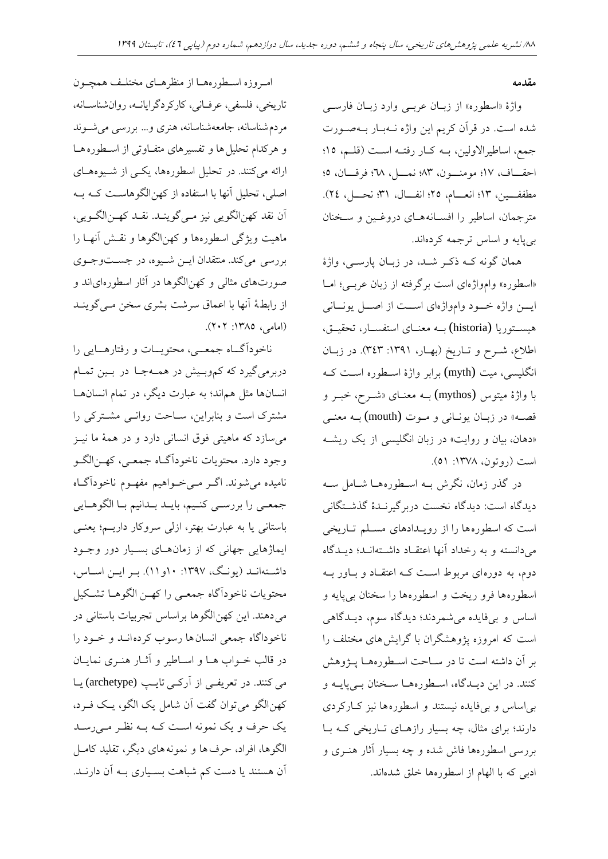#### **مقدمه**

واژهٔ «اسطوره» از زبان عربے وارد زبان فارسے شاه اس . در قرآن کریم این واژه ند بدار بد صدورت جمع، اساطیرالاولین، بـه کـار رفتـه اسـت (قلـم، ١٥؛ احقـاف، ١٧؛ مومنـــون، ٨٣؛ نمـــل، ٣٨؛ فرقـــان، ٥؛ مطففسين، ١٣؛ انعسام، ٢٥؛ انفسال، ٣١؛ نحسل، ٢٤). مترجمان، اساطیر را افسـانههـای دروغـین و سـخنان بی پایه و اساس ترجمه کردهاند.

همان گونه کـه ذکـر شـد، در زبـان پارســی، واژۀ «اسطوره» وامواژهای است برگرفته از زبان عربـی؛ امــا ایسن واژه خسود وامواژهای است از اصل یونسانی یسدتوریا (historia (بدد معنددای استفسددار، تحقیددق، اطلاع، شــرح و تــاریخ (بهــار، ١٣٩١: ٣٤٣). در زبــان انگلیسی، میت (myth) برابر واژۀ اسـطوره اسـت کـه با واژۀ میتوس (mythos) بـه معنــای «شــرح، خبــر و قصه» در زبـان یونـانی و مـوت (mouth) بـه معنــی «دهان، بیان و روایت» در زبان انگلیسی از یک ریشه است (روتون، ۱۳۷۸: ۵۱).

در گذر زمان، نگرش بــه اســطورههــا شــامل ســه دیدگاه است: دیدگاه نخست دربرگیرنـدۀ گذشـتگانی است که اسطوره ها را از رویـدادهای مسـلم تـاریخی میدانسته و به رخداد آنها اعتقاد داشتهاند؛ دیـدگاه دوم، به دورهای مربوط است کـه اعتقـاد و بـاور بــه اسطورهها فرو ریخت و اسطورهها را سخنان بی پایه و اساس و بیفایده میشمردند؛ دیدگاه سوم، دیـدگاهی است که امروزه پژوهشگران با گرایش های مختلف را بر آن داشته است تا در سـاحت اسـطورههـا پــژوهش کنند. در این دیـدگاه، اسـطورههـا سـخنان بـی پایــه و بی اساس و بی فایده نیستند و اسطوره ها نیز کبارکردی دارند؛ برای مثال، چه بسیار رازهـای تـاریخی کـه بـا بررسی اسطورهها فاش شده و چه بسیار آثار هنـری و ادبی که با الهام از اسطورهها خلق شدهاند.

امروزه اسطورههـا از منظرهـای مختلـف همچـون تاریخی، فلسفی، عرفانی، کارکردگرایانــه، روانشناســانه، مردم شناسانه، جامعهشناسانه، هنری و... بررسی می شوند و هرکدام تحلیل ها و تفسیرهای متفـاوتی از اسـطوره هـا ارائه میکنند. در تحلیل اسطورهها، یکسی از شـیوههـای اصلی، تحلیل آنها با استفاده از کهنالگوهاست کـه بـه آن نقا کهنالگویی نیز مد یگویندا . نقدا کهد نالگدو یی، ماهیت ویژگی اسطورهها و کهنالگوها و نقش آنهـا را بررسی میکند. منتقدان ایــن شــیوه، در جســتوجـوی صورت های مثالی و کهن|لگوها در آثار اسطورهای|ند و از رابطۀ آنها با اعماق سرشت بشری سخن مـی گوینـد )امامی، :1385 202(.

ناخودآگـاه جمعــی، محتویــات و رفتارهــایی را دربرمیگیرد که کموبیش در همهجا در بین تمام انسانها مثل هماند؛ به عبارت دیگر، در تمام انسانهــا مشترک است و بنابراین، سـاحت روانــی مشـترکی را میسازد که ماهیتی فوق انسانی دارد و در همۀ ما نیــز وجود دارد. محتویات ناخودآگـاه جمعـی، کهـنالگـو نامیده میشوند. اگـر مـیخـواهیم مفهـوم ناخودآگـاه جمعدی را بررسدی کندیم، بایدا بداانیم بدا الگو دایی باستانی یا به عبارت بهتر، ازلی سروکار داریـم؛ یعنـی ایماژهایی جهانی که از زمان های بسیار دور وجود داشدت اندا )یوند ، :1397 10و11(. بدر ایدن اسداس، محتویات ناخودآگاه جمعدی را کهدن الگو دا تشدکیل میدهند. این کهن|لگوها براساس تجربیات باستانی در ناخوداگاه جمعی انسان ها رسوب کرده انـد و خـود را در قالب خدواب دا و اسداطیر و آثدار ندری نمایدان می کنند. در تعریفی از آرکسی تایب (archetype) یـا کهنالگو میتوان گف آن شامل یک الگو، یدک فدرد، یک حرف و یک نمونه است کـه بـه نظـر مـیرسـد الگوها، افراد، حرف ها و نمونه های دیگر، تقلید کامل آن هستند یا دست کم شباهت بسـیاری بــه آن دارنــد.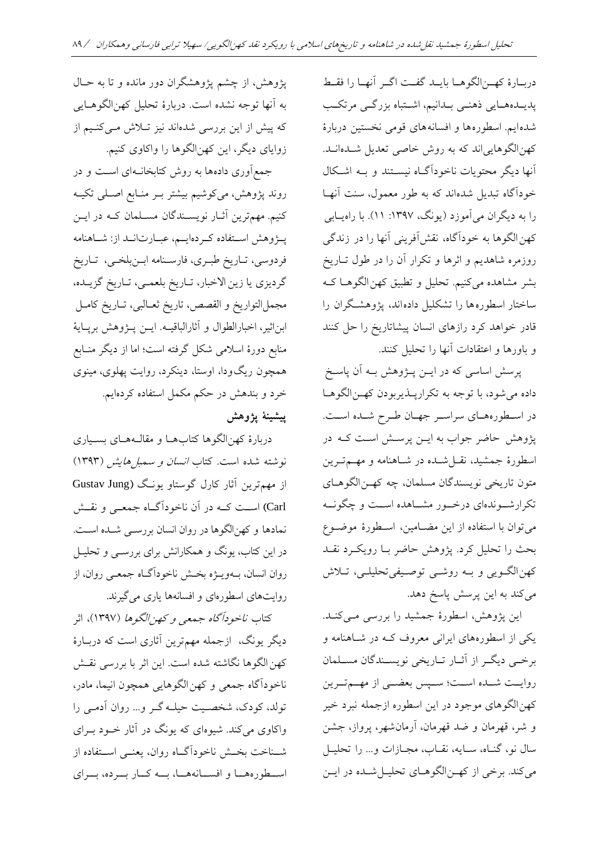دربارۀ کهـنالگوهـا بايـد گفـت اگـر آنهـا را فقـط پدیـدههـایی ذهنـی بـدانیم، اشـتباه بزرگـی مرتکـب شدهایم. اسطورهها و افسانههای قومی نخستین دربارۀ کهن الگوهایی اند که به روش خاصی تعدیل شـده انــد. آنها دیگر محتویات ناخودآگداه نیسدتنا و بد اشدکال خودآگاه تبدیل شدهاند که به طور معمول، سنت آنهـا را به دیگران میآموزد (یونگ، ۱۳۹۷: ۱۱). با راهیـابی کهن الگوها به خودآگاه، نقشآفرینی آنها را در زندگی روزمره شاهدیم و اثرها و تکرار آن را در طول تـاریخ بشر مشاهده میکنیم. تحلیل و تطبیق کهن الگوهـا کـه ساختار اسطورهها را تشکلیل دادهاند، پژوهشگران را قادر خواهد کرد رازهای انسان پیشاتاریخ را حل کنند و باورها و اعتقادات آنها را تحلیل کنند.

پرسش اساسی که در ایــن پــژوهش بــه آن پاســخ داده میشود، با توجه به تکرارپـذیربودن کهـنالگوهـا در اسطوره های سراسر جهان طرح شده است. پژوهش حاضر جواب به ایــن پرســش اسـت کــه در اسطورۀ جمشیا، نقدل شداه در شدا نام و مهدم تدر ین متون تاریخی نویسندگان مسلمان، چه کهـنالگوهـای تکرارشـوندهای درخـور مشـاهده اســت و چگونــه میتوان با استفاده از این مضدام ین، اسدطور ۀ موضدوع بحث را تحلیل کرد. پژو ش حاضر بدا رو یکدرد نقدا کهن|لگـویی و بــه روشــی توصـیفیتحلیلــی، تــلاش میکند به این پرسش پاسخ دهد.

این پژوهش، اسطورۀ جمشید را بررسی مـیکنـد. یکی از اسطورههای ایرانی معروف کـه در شـاهنامه و برخدی دیگدر از آثدار تداریخی نویسدناگان مسدلمان روایست شدده اسست؛ سمیس بعضمی از مهسم تسرین کهن|لگوهای موجود در این اسطوره ازجمله نبرد خیر و شر، قهرمان و ضا قهرمان، آرمانشهر، پرواز، جشن سال نو، گنـاه، سـايه، نقـاب، مجـازات و... را تحليـل میکند. برخی از که نالگوهای تحلیل شده در ایس

پژوهش، از چشم پژوهشگران دور مانده و تا به حـال به آنها توجه نشده است. دربارۀ تحلیل کهنالگوهایی که پیش از این بررسی شدهاند نیز تـلاش مـیکنـیم از زوایای دیگر، این کهنالگوها را واکاوی کنیم.

جمع آوری دادهها به روش کتابخان1ای است و در روند پژوهش، میکوشیم بیشتر بـر منـابع اصـلی تکیــه کنیم. مهمترین آثـار نویســندگان مســلمان کــه در ایــن پـــژوهش اســتفاده کــردهایـــم، عبــارت|نــد از: شــاهنامه فردوسی، تـاریخ طبـری، فارسـنامه ابـنبلخـی، تـاریخ گردیزی یا زین الاخبار، تـاریخ بلعمـی، تـاریخ گزیـده، مجملالتواریخ و القصص، تاریخ ثعدال ی، تدار یخ کامدل ابن اثیر، اخبارالطوال و آثارالباقیــه. ایــن پــژوهش برپــایۀ منابع دورۀ اسلامی شکل گرفته است؛ اما از دیگر منــابع همچون ریگ ودا، اوستا، دینکرد، روایت پهلوی، مینوی خرد و بنا ش در حکم مکمل استفاده کردهایم. **پیشینۀ پژوهش**

دربارۀ کهن|لگوها کتابها و مقالـههـای بسـیاری نوشته شده است. کتاب *انسان و سمبل هایش (*۱۳۹۳) از مهمترین آثار کارل گوستاو یونگ (Gustav Jung Carl )اسدد کدد در آن ناخودآگدداه جمعددی و نقددش نمادها و کهنالگوها در روان انسان بررسمی شـده اسـت. در این کتاب، یونگ و همکارانش برای بررســی و تحلیــل روان انسان، بــهویـــژه بخــش ناخودآگــاه جمعــی روان، از روایتهای اسطورهای و افسانهها یاری می گیرند.

کتاب *ناخودآگاه جمعی و کهنالگوها (*۱۳۹۷)، اثر دیگر یونگ، ازجمله مهمترین آثاری است که دربـارهٔ کهن الگوها نگاشته شده است. این اثر با بررسی نقـش ناخودآگاه جمعی و کهن الگوهایی همچون انیما، مادر، تولا، کودک، شخصد ی حیلد گدر و... روان آدمد ی را واکاوی میکند. شیوهای که یونگ در آثار خـود بـرای شـناخت بخـش ناخودآگــاه روان، یعنــی اســتفاده از استطوره هسا و افستانه هسا، بسه کنار بسرده، بسرای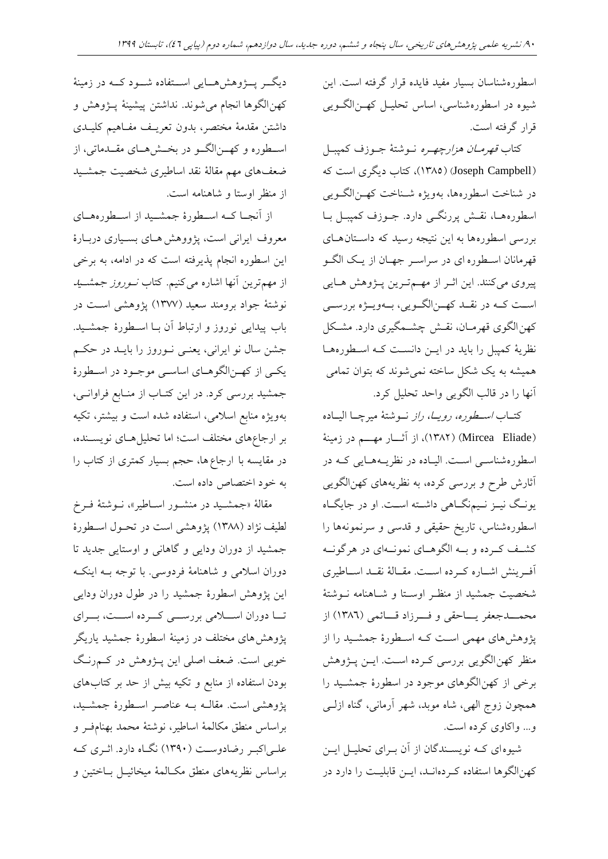اسطورهشناسان بسیار مفید فایده قرار گرفته است. این شیوه در اسطورهشناسی، اساس تحلیـل کهـنالگـویی قرار گرفته است.

کتاب *قهرمــان هزارچهـره* نــوشتۀ جــوزف کميبــل (Joseph Campbell) (١٣٨٥)، کتاب دیگری است که در شناخت اسطورهها، بهویژه شـناخت کهـنالگـویی اسطوره هـا، نقـش پررنگــی دارد. جــوزف کمپبــل بــا بررسی اسطورهها به این نتیجه رسید که داستان های قهرمانان اسدطوره ای در سراسدر جهدان از ید ک الگدو پیروی میکنند. این اثـر از مهـمترین پـژوهش هـایی است کـه در نقــد کهـــن|لگــویی، بـــهویـــژه بررســـی کهن الگوی قهرمـان، نقـش چشـمگیری دارد. مشـکل نظریۀ کمپبل را باید در ایـن دانسـت کـه اسـطورههـا همیشه به یک شکل ساخته نمیشوند که بتوان تمامی آنها را در قالب الگویی واحا تحلیل کرد.

کتــاب *اســطوره، رویــا، راز* نــوشتۀ میرچــا الیــاده (Mircea Eliade) (١٣٨٢)، از آثار مهم در زمينۀ اسطورهشناســی اســت. الیــاده در نظریــههــایی کــه در آثارش طرح و بررسی کرده، به نظریههای کهنالگویی یونگ نیـز نـیمنگــاهی داشــته اســت. او در جایگــاه اسطورهشناس، تاریخ حقیقی و قدسی و سرنمونهها را کشف کـرده و بــه الگوهــای نمونــهای در هرگونــه آفـرینش اشـاره کـرده اسـت. مقـالۀ نقـد اسـاطیری شخصیت جمشید از منظـر اوسـتا و شـاهنامه نــوشتهٔ محمـــدجعفر یـــاحقی و فـــرزاد قـــائمی (١٣٨٦) از پژوهش های مهمی است کـه اسـطورهٔ جمشـید را از منظر کهن الگویی بررسی کـرده اسـت. ایــن پــژوهش برخی از کهنالگو ای موجود در اسطورۀ جمشد یا را مچون زوج الهی، شاه موبا، شهر آرمانی، گناه ازلد ی و... واکاوی کرده است.

شیوهای کـه نویسـندگان از آن بـرای تحلیـل ایــن کهن الگوها استفاده کردهانـد، ایــن قابلیـت را دارد در

دیگددر پددژو ش ددایی اسددتفاده شددود کدد در زمینۀ کهن|لگوها انجام می شوند. نداشتن پیشینۀ پــژوهش و داشتن مقدمۀ مختصر، بدون تعریـف مفـاهیم کلیـدی اسـطوره و کهــن|لگــو در بخــشهــای مقــدماتی، از ضعفهای مهم مقالۀ نقد اساطیری شخصیت جمشـید از منظر اوستا و شاهنامه است.

از آنجا کـه اسـطورۀ جمشـید از اسـطورههـای معروف ایرانی است، پژووهش هـای بسـیاری دربـارهٔ این اسطوره انجام پذیرفته است که در ادامه، به برخی از مهم ترین آنها اشاره میکنیم. کتاب *نسوروز جمشسید* نوشتۀ جواد برومنا سعیا )1377( پژو شی اسد در باب پیدایی نوروز و ارتباط آن بــا اســطورهٔ جمشــید. جشن سال نو ایرانی، یعنـی نــوروز را بایــد در حکــم یکدی از کهدنالگو دای اساسدی موجدود در اسدطورۀ جمشید بررسی کرد. در این کتـاب از منـابع فراوانـی، به ویژه منابع اسلامی، استفاده شده است و بیشتر، تکیه بر ارجاعهای مختلف است؛ اما تحلیل هـای نویســنده، در مقایسه با ارجاع ها، حجم بسیار کمتری از کتاب را به خود اختصاص داده است.

مقالۀ «جمشـید در منشـور اسـاطیر»، نـوشتۀ فـرخ لطیف نژاد (۱۳۸۸) پژوهشی است در تحـول اسـطورهٔ جمشید از دوران ودایی و گاهانی و اوستایی جدید تا دوران اسلامی و شاهنامۀ فردوسی. با توجه بـه اینکـه این پژو ش اسطورۀ جمشیا را در طول دوران ودایی تــا دوران اســـلامی بررســـی کـــرده اســـت، بـــرای پژو ش ای مختل در زمینۀ اسطورۀ جمشیا یاریگر خوبی است. ضعف اصلی این پـژوهش در کــمرنـگ بودن استفاده از منابع و تکیه بیش از حد بر کتابهای پژوهشی است. مقالــه بــه عناصــر اســطورهٔ جمشــید، براساس منطق مکالمۀ اساطیر، نوشتۀ محما بهنامفدر و علمیاکبر رضادوست (۱۳۹۰) نگاه دارد. اثری که براساس نظریههای منطق مکـالمۀ میخائیــل بــاختین و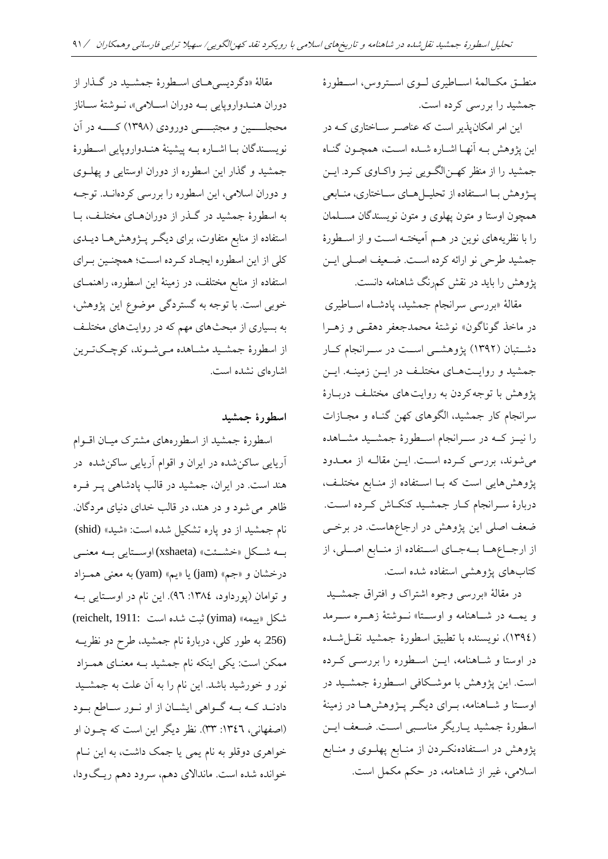منطـق مکـالمۀ اسـاطیری لـوی اسـتروس، اسـطورۀ جمشید را بررسی کرده است. این امر امکانپذیر است که عناصـر سـاختاری کـه در این پژو ش بد آنهدا اشداره شداه اسد ، مچدون گنداه جمشید را از منظر که ن الگویی نیـز واکـاوی کـرد. ایــن پدژو ش بدا اسدتفاده از تحلیدل دای سداختاری، مندابعی مچون اوستا و متون پهلوی و متون نویسناگان مسدلمان را با نظریههای نوین در هـم آمیختـه اسـت و از اسـطورهٔ جمشید طرحی نو ارائه کرده است. ضعیف اصلی ایـن مقالۀ «دگردیسی هــای اســطورۀ جمشــید در گــذار از

> مقالۀ «بررسی سرانجام جمشید، پادشاه اسـاطیری در ماخذ گوناگون» نوشتۀ محمدجعفر دهقـی و زهــرا دشتبان (۱۳۹۲) پژوهشمی است در سرانجام کار جمشید و روایـتهـای مختلـف در ایـن زمینـه. ایـن پژوهش با توجه کردن به روایت های مختلف دربـارۀ سرانجام کار جمشید، الگوهای کهن گنـاه و مجـازات را نیــز کــه در ســرانجام اســطورۀ جمشــید مشــاهده میشونا، بررسی کدرده اسد . اید ن مقالد از معداود پژوهشهایی است که بـا اسـتفاده از منـابع مختلـف، دربارۀ سرانجام کـار جمشـید کنکـاش کـرده اسـت. ضعف اصلی این پژوهش در ارجاعهاست. در برخـی از ارجـاعهـا بـهجـای اسـتفاده از منـابع اصـلی، از کتابهای پژوهشی استفاده شده است.

پژوهش را باید در نقش کمرنگ شاهنامه دانست.

در مقالۀ »بررسی وجوه اشتراک و افتراق جمشد یا و یمــه در شــاهنامه و اوســتا» نــوشتۀ زهــره ســرمد )1394(، نویسناه با تط یق اسطورۀ جمشیا نقدل شداه در اوستا و شـاهنامه، ایــن اسـطوره را بررســی کــرده است. این پژوهش با موشکافی اسطورهٔ جمشـید در اوستا و شـاهنامه، بـرای دیگـر پـژوهشهـا در زمینۀ اسطورهٔ جمشید یـاریگر مناسـبی اسـت. ضـعف ایـن پژوهش در اسـتفادهنکـردن از منـابع پهلــوی و منــابع اسلامی، غیر از شاهنامه، در حکم مکمل است.

دوران هنـدواروپایی بـه دوران اسـلامی»، نـوشتۀ سـاناز محجلسین و مجتبسی دورودی (۱۳۹۸) کسه در آن نویسـندگان بــا اشــاره بــه پیشینۀ هنــدواروپایی اسـطورۀ جمشیا و گهار این اسطوره از دوران اوستایی و پهلدو ی و دوران اسالمی، این اسطوره را بررسی کردهاندا . توجد به اسطورهٔ جمشید در گـذر از دورانهـای مختلـف، بـا استفاده از منابع متفاوت، برای دیگر پـژوهشهـا دیــدی کلی از این اسطوره ایجـاد کـرده اسـت؛ همچنـین بـراي استفاده از منابع مختلف، در زمینۀ این اسطوره، راهنمــای خوبی است. با توجه به گستردگی موضوع این پژوهش، به بسیاری از مبحثهای مهم که در روایتهای مختلف از اسطورۀ جمشـید مشـاهده مـیشـوند، کوچـکتـرین اشارهای نشده است.

### **اسطورۀ جمشید**

اسطورهٔ جمشید از اسطورههای مشترک میـان اقــوام آریایی ساکنشاه در ایران و اقوام آریایی ساکنشاه در هند است. در ایران، جمشید در قالب پادشاهی پـر فـره ظاهر می شود و در هند، در قالب خدای دنیای مردگان. نام جمشید از دو پاره تشکیل شده است: «شید» (shid) بدد شددکل »خشدد « (xshaeta (اوسددتایی بدد معنددی درخشان و «جم» (jam) یا «یم» (yam) به معنی همـزاد و توامان (پورداود، ١٣٨٤: ٩٦). این نام در اوستایی به شکل «ییمه» (yima) ثبت شده است 1911: (reichelt, 1911: (.256 ب طور کلی، دربارۀ نام جمشیا، طر دو نظرید ممکن است: یکی اینکه نام جمشید بـه معنـای همـزاد نور و خورشید باشد. این نام را به آن علت به جمشــید دادنـد کـه بـه گــواهی ایشــان از او نــور ســاطع بــود (اصفهانی، ١٣٤٦: ٣٣). نظر دیگر این است که چـون او خواهری دوقلو به نام یمی یا جمک داشت، به این نــام خوانده شده است. ماندالای دهم، سرود دهم ریگودا،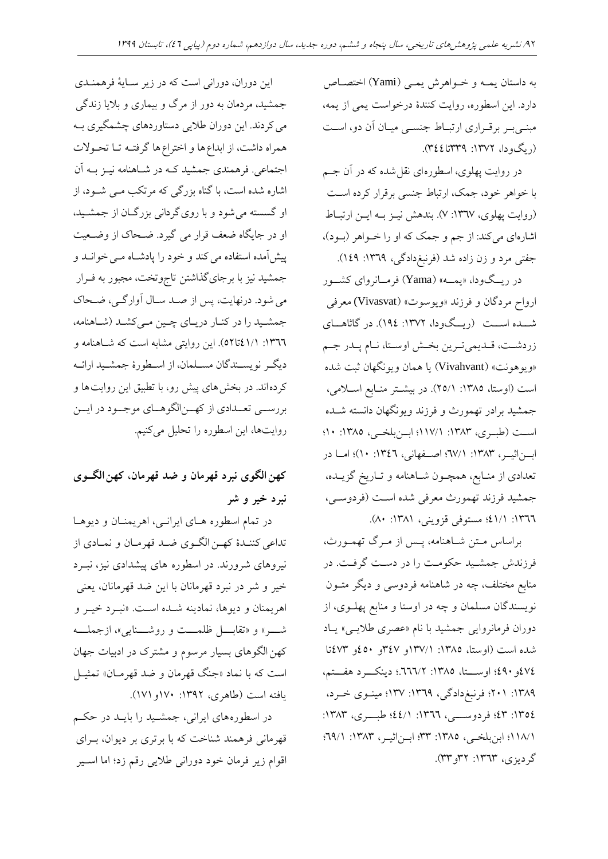به داستان یمـه و خـواهرش یمـی (Yami) اختصـاص دارد. این اسطوره، روایت کنندۀ درخواست یمی از یمه، مبنـیبـر برقـراری ارتبـاط جنسـی میـان آن دو، اسـت  $($ ریگ و دا، ۱۳۷۲: ۱۳۳۹: ۳٤٤).

در روایت پهلوی، اسطورهای نقل شده که در آن جـم با خواهر خود، جمک، ارتباط جنسی برقرار کرده است (روایت پهلوی، ١٣٦٧: ٧). بندهش نیز به این ارتباط اشارهای میکند: از جم و جمک که او را خـواهر (بـود)، جفتی مرد و زن زاده شد (فرنبغدادگی، ۱۳٦۹: ۱٤۹).

در ریسگودا، «یمسه» (Yama) فرمسانروای کشسور ارواح مردگان و فرزند «ویوسوت» (Vivasvat) معرفی شــده اســت (ریــگودا، ۱۳۷۲: ۱۹٤). در گاثاهــای زردشد ، قدایمیتدرین بخدش اوسدتا، ندام پدار جدم «ویوهونت» (Vivahvant) یا همان ویونگهان ثبت شده است (اوستا، ١٣٨٥: ٢٥/١). در بیشــتر منــابع اســلامی، جمشید برادر تهمورث و فرزند ویونگهان دانسته شـده است (طبری، ١٣٨٣: ١١٧/١؛ ابرنبلخبی، ١٣٨٥: ١٠؛ ابسناثیسر، ١٣٨٣: ٢٧/١؛ اصدفهانی، ١٣٤٦: ١٠)؛ امسا در تعدادی از منـابع، همچـون شـاهنامه و تـاریخ گزیــده، جمشید فرزند تهمورث معرفی شده است (فردوسـی، :1366 41/1؛ مستوفی قزوینی، :1381 80(.

براساس مـتن شـاهنامه، پـس از مـرگ تهمـورث، فرزناش جمشدیا حکومد را در دسد گرفد . در منابع مختلف، چه در شاهنامه فردوسی و دیگر متــون نویسندگان مسلمان و چه در اوستا و منابع پهلـوی، از دوران فرمانروایی جمشیا با نام »عصری طالیدی « یداد شده است (اوستا، ١٣٨٥: ١٣٧/١و ٤٧٣و ٤٥٠و ٤٧٣تا 474و490؛ اوسددتا، :1385 .666/2؛ دینکددرد فددتم، :1389 201؛ فرن غدادگی، :1369 137؛ میندوی خدرد، ١٣٥٤: ٤٢: فردوس<sub>دی</sub>، ١٣٦٦: ٤٤/١؛ طبـــــری، ١٣٨٣: 118/1؛ ابنبلخدی، :1385 33؛ ابدن اثیدر، :1383 69/1؛ گر دیزی، ۱۳۶۳: ۳۲و ۳۳).

این دوران، دورانی است که در زیر سـایۀ فرهمنــدی جمشید، مردمان به دور از مرگ و بیماری و بلایا زندگی می کردند. این دوران طلایی دستاوردهای چشمگیری بـه همراه داشت، از ابداع ها و اختراع ها گرفتـه تـا تحـولات اجتماعی. فرهمندی جمشید کـه در شـاهنامه نیــز بــه آن اشاره شده است، با گناه بزرگی که مرتکب مـی شــود، از او گسسته می شود و با روی گردانی بزرگـان از جمشـید، او در جایگاه ضعف قرار می گیرد. ضحاک از وضعیت پیشآمده استفاده می کند و خود را پادشـاه مــی خوانــد و جمشید نیز با برجایگذاشتن تاجوتخت، مجبور به فـرار می شود. درنهایت، پس از صـد سـال آوارگـی، ضـحاک جمشـید را در کنـار دریـای چـین مـیکشـد (شـاهنامه، ۰۱۳٦٦: ۶۱/۱تا۵۲). این روایتی مشابه است که شـاهنامه و دیگدر نویسدناگان مسدلمان، از اسدطورۀ جمشدیا ارائد کردهاند. در بخش های پیش رو، با تطبیق این روایت ها و بررسمی تعمدادی از کهـنالگوهـای موجـود در ایــن روایتها، این اسطوره را تحلیل میکنیم.

# **کهنالگوی نبرد قهرمان و ضد قهرمان، کهنالگووی نبرد خیر و شر**

در تمام اسطوره هـای ایرانـی، اهریمنـان و دیوهـا تداعی کننـدۀ کهـن الگـوی ضـد قهرمـان و نمـادی از نیروهای شرورند. در اسطوره های پیشدادی نیز، نبــرد خیر و شر در نبرد قهرمانان با این ضد قهرمانان، یعنی اهر یمنان و دیوها، نمادینه شـده اسـت. «نبـرد خیـر و شهر» و «تقابسل ظلمست و روشسنایی»، ازجملسه کهن الگو های بسیار مرسوم و مشترک در ادبیات جهان است که با نماد «جنگ قهرمان و ضد قهرمـان» تمثیــل یافته است (طاهری، ۱۳۹۲: ۱۷۰و ۱۷۱).

در اسطورههای ایرانی، جمشـید را بایــد در حکــم قهرمانی فرهمند شناخت که با برتری بر دیوان، بـرای اقوام زیر فرمان خود دورانی طالیی رقم زد؛ اما اسدیر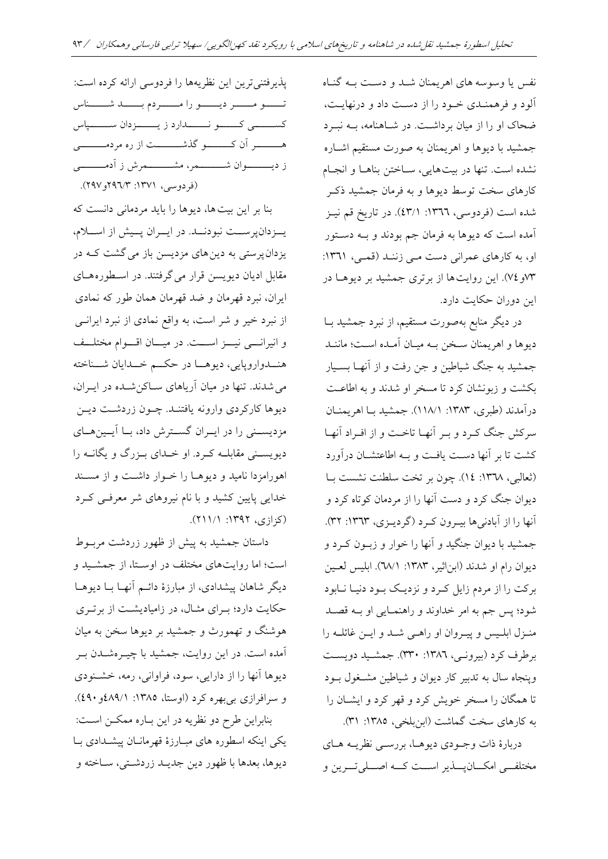نفس یا وسوسه های اهریمنان شد و دست بـه گنـاه آلود و فر مندای خدود را از دسد داد و درنهاید ، ضحاک او را از میان برداشت. در شـاهنامه، بـه نبـرد جمشید با دیوها و اهر یمنان به صورت مستقیم اشــاره نشده است. تنها در بیتهایی، سـاختن بناهـا و انجـام کارهای سخت توسط دیوها و به فرمان جمشید ذکـر شده است (فردوسی، ١٣٦٦: ٤٣/١). در تاریخ قم نیـز آمده است که دیوها به فرمان جم بودند و بــه دسـتور او، به کارهای عمرانی دست می زنند (قمی، ١٣٦١: 73و74(. این روای ا از برتری جمشیا بر دیو دا در این دوران حکایت دارد.

در دیگر منابع بهصورت مستقیم، از نبرد جمشید بــا دیوها و اهریمنان سخن بـه میـان آمـده اسـت؛ ماننـد جمشید به جنگ شیاطین و جن رفت و از آنهـا بسـیار بکشت و زبونشان کرد تا مسخر او شدند و به اطاعت درآمدند (طبری، ۱۳۸۳: ۱۱۸/۱). جمشید بــا اهر یمنــان سرکش جنگ کـرد و بـر آنهـا تاخـت و از افـراد آنهـا کشت تا بر آنها دست یافت و بـه اطاعتشــان درآورد (ثعالبی، ١٣٦٨: ١٤). چون بر تخت سلطنت نشست ب دیوان جنگ کرد و دست آنها را از مردمان کوتاه کرد و آنها را از آبادنی ها بیدون کرد (گردیدی، ۱۳۶۳: ۳۲). جمشیا با دیوان جنگیا و آنها را خوار و زبدون کدرد و دیوان رام او شدند (ابن|ثیر، ۱۳۸۳: ۲۸/۱). ابلیس لعــین برکت را از مردم زایل کرد و نزدیک بود دنیـا نـابود شود؛ پس جم به امر خداوند و راهنمـایی او بــه قصــد منـزل ابلـیس و پیـروان او راهـی شـد و ایـن غائلـه را برطرف کرد (بیرونی، ١٣٨٦: ٣٣٠). جمشید دویست وپنجاه سال به تدبیر کار دیوان و شیاطین مشـغول بـود تا مگان را مسخر خویش کرد و قهر کرد و ایشدان را به کارهای سخت گماشت (ابنبلخی، ١٣٨٥: ٣١).

دربارۀ ذات وجدودی دیو دا، بررسدی نظرید دای مختلف<sub>سی</sub> امکـانپـــذیر اســت کـــه اصـــلیتـــرین و

پذیرفتنی ترین این نظریهها را فردوسی ارائه کرده است: تسدو مسدر دیسدو را مسدردم بسسد شدستاس کسسستی کسسو نسسدارد ز یسست زدان ستسسیاس ه سدس آن کسسد گذشسسست از ره مردمــــــــــی ز دیستسدوان شسسسدهر، مشسسسمرش ز آدمــــــــــی )فردوسی، :1371 296/3و297(.

بنا بر این بیت ها، دیوها را باید مردمانی دانست که یدزدانپرست نبودند. در ایدران پدیش از اسلام، یزدان پرستی به دین های مزدیسن باز می گشت کـه در مقابل ادیان دیویسن قرار میگرفتنا. در اسدطوره دای ایران، نبرد قهرمان و ضد قهرمان همان طور که نمادی از نبرد خیر و شر است، به واقع نمادی از نبرد ایرانسی و انیرانسی نیسز اسست. در میسان اقسوام مختلف هنــدواروپایی، دیوهــا در حکـــم خــدایان شـــناخته می شدند. تنها در میان آریاهای سـاکن شـده در ایــران، دیوها کارکردی وارونه یافتنـد. چـون زردشـت دیــن مزدیسـنی را در ایـران گسـترش داد، بـا آیـینهـای دیویسـنی مقابلــه کــرد. او خــدای بــزرگ و یگانــه را اهورامزدا نامید و دیوهـا را خـوار داشـت و از مسـند خاایی پایین کشیا و با نام نیرو ای شر معرفدی کدرد  $(2; |_{(2)}, 1)$ ۹۲ (. (۱۱/۲)).

داستان جمشید به پیش از ظهور زردشت مربوط است؛ اما روایتهای مختلف در اوستا، از جمشید و دیگر شاهان پیشدادی، از مبارزۀ دائـم آنهـا بـا دیوهـا حکایت دارد؛ بهرای مثال، در زامیادیشت از برتری هوشنگ و تهمورث و جمشید بر دیوها سخن به میان آمده است. در این روایت، جمشید با چیــرهشــدن بــر دیوها آنها را از دارایی، سود، فراوانی، رمه، خشنودی و سرافرازی بی بهره کرد (اوستا، ۱۳۸۵: ۶۸۹/۱). بنابراین طرح دو نظریه در این بـاره ممکـن اسـت: یکی اینکه اسطوره های مبارزهٔ قهرمانان پیشدادی با

دیوها، بعدها با ظهور دین جدیـد زردشـتی، سـاخته و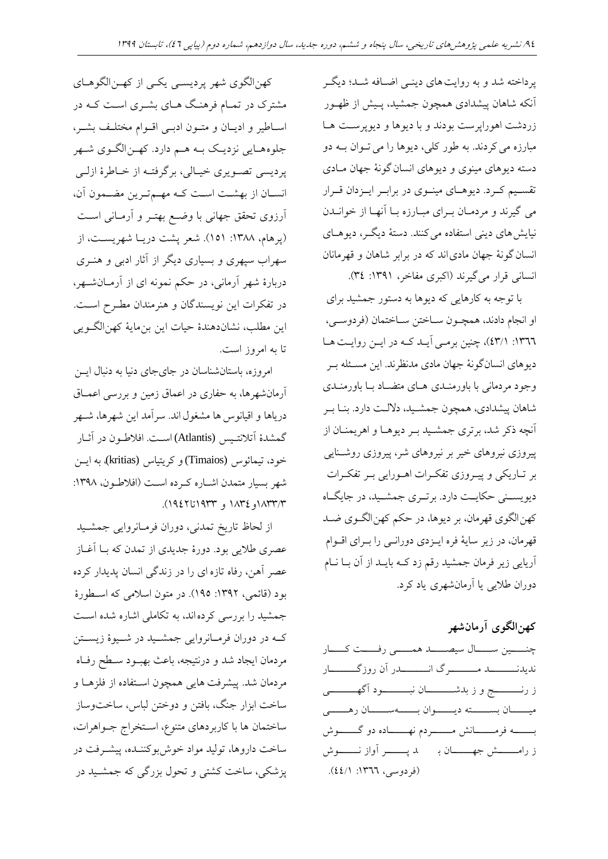پرداخته شد و به روایت های دینسی اضـافه شـد؛ دیگـر آنکه شاهان پیشدادی همچون جمشید، پـیش از ظهـور زردشت اهوراپرست بودند و با دیوها و دیوپرست ها مبارزه می کردند. به طور کلی، دیوها را می تـوان بـه دو دسته دیوهای مینوی و دیوهای انسان گونۀ جهان مـادی تقسدیم کدرد. دیو دای میندوی در برابدر ایدزدان قدرار می گیرند و مردمان برای مبارزه با آنها از خوانـدن نیایش های دینی استفاده می کنند. دستهٔ دیگـر، دیوهــای انسان گونۀ جهان مادی اند که در برابر شاهان و قهرمانان انسانی قرار می گیرند (اکبری مفاخر، ۱۳۹۱: ۳٤).

با توجه به کارهایی که دیوها به دستور جمشید برای او انجام دادند، همچـون سـاختن سـاختمان (فردوسـی، :1366 43/1(، چنین برمدی آیدا کد در ایدن رواید دا دیوهای انسانگونۀ جهان مادی مدنظرند. این مسـئله بـر وجود مردمانی با باورمندای دای متضداد بدا باورمندای شاهان پیشدادی، همچون جمشـید، دلالـت دارد. بنـا بـر آنچه ذکر شد، برتری جمشید بـر دیوهـا و اهریمنـان از پیروزی نیروهای خیر بر نیروهای شر، پیروزی روشـنایی بر تـاریکی و پیـروزی تفکـرات اهـورایی بـر تفکـرات دیویسـنی حکایـت دارد. برتـری جمشـید، در جایگـاه کهن الگوی قهرمان، بر دیوها، در حکم کهن الگـوی ضـد قهرمان، در زیر سایۀ فره ایدزدی دوراندی را بدرای اقدوام آریایی زیر فرمان جمشیا رقم زد کد بایدا از آن بدا ندام دوران طالیی یا آرمانشهری یاد کرد.

## **کهنالگوی آرمانشهر**

چنسمین سسسال سیصدا همسمی رفسست کسسار ندیدنــــــــــــد مــــــــــرگ انـــــــــــدر آن روزگـــــــــار ز رندددددددج و ز باشددددددددان ن ددددددددود آگهددددددددی میـــــان بســــــته دیـــــوان بـــــــهســـــان رهـــــــی بـــــــه فرمـــــــانش مــــــــردم نهــــــاده دو گـــــــوش ز رامستش جهسان با به پسسر آواز نسسوش )فردوسی، :1366 44/1(.

کهنالگوی شهر پردیسدی یکدی از کهدن الگو دای مشترک در تمدام فر ند دای بشدری اسد کد در اساطیر و ادیبان و متبون ادبی اقبوام مختلف بشیر، جلوه دایی نزدیدک بد دم دارد. کهدن الگدوی شدهر پردیسی تصدویری خیدالی، برگرفتد از خداطر ۀ ازلدی انسـان از بهشـت اسـت کـه مهـمترین مضـمون آن، آرزوی تحقق جهانی با وضد بهتدر و آرمدانی اسد (پرهام، ۱۳۸۸: ۱۵۱). شعر پشت دریــا شهریســت، از سهراب س هری و بسیاری دیگر از آثار ادبی و ندری دربارۀ شهر آرمانی، در حکم نمونه ای از آرمـانشــهر، در تفکرات این نویسندگان و هنرمندان مطرح است. این مطلب، نشاندهندۀ حیات این بنمایۀ کهنالگویی تا به امروز است.

امروزه، باستانشناسان در جایجای دنیا به دنبال ایسن آرمانشهر ا، ب حفاری در اعماق زمین و بررسی اعمداق دریاها و اقیانوس ها مشغول اند. سرآمد این شهرها، شـهر گمشدۀ آتلانتـیس (Atlantis) اسـت. افلاطـون در آثـار خود، تیمائوس (Timaios) و کریتیاس (kritias)، به ایــن شهر بسیار متمدن اشـاره کـرده اسـت (افلاطـون، ۱۳۹۸: 1833/3و1834 و 1933تا1942(.

از لحاظ تاریخ تمانی، دوران فرمدانروایی جمشدیا عصری طالیی بود. دورۀ جایای از تمان ک بدا آغداز عصر آهن، رفاه تازه ای را در زندگی انسان پدیدار کرده بود (قائمی، ۱۳۹۲: ۱۹۵). در متون اسلامی که اسطورهٔ جمشید را بررسی کردهاند، به تکاملی اشاره شده است کـه در دوران فرمـانروایی جمشــید در شــیوۀ زیســتن مردمان ایجاد شد و درنتیجه، باعث بهبـود سـطح رفـاه مردمان شد. پیشرفت هایی همچون استفاده از فلزهـا و ساخت ابزار جنگ، بافتن و دوختن لباس، ساختوساز ساختمان ها با کاربردهای متنوع، اسـتخراج جــواهرات، ساخت داروها، تولید مواد خوشبوکننده، پیشـرفت در پزشکی، ساخت کشتی و تحول بزرگی که جمشـید در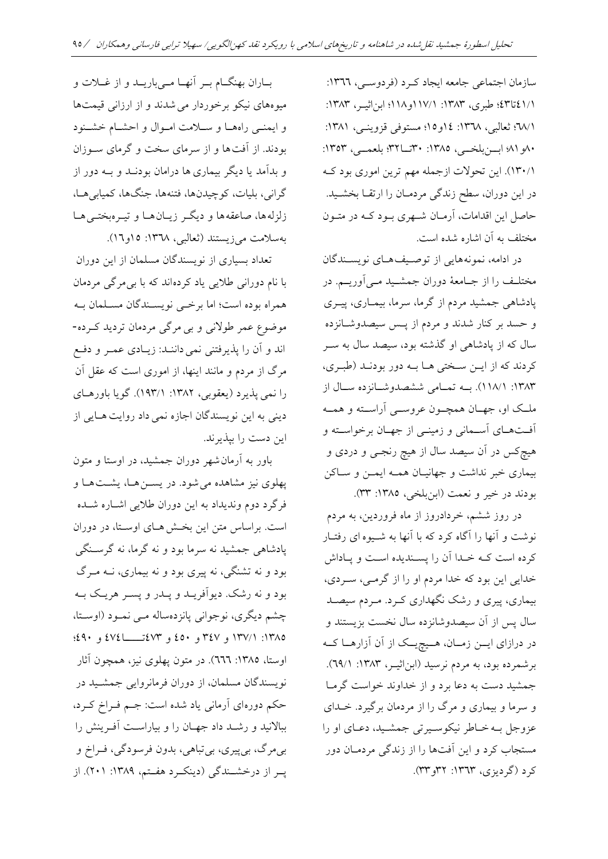سازمان اجتماعی جامعه ایجاد که د (فردوسهی، ١٣٦٦: ٤٢١/١ تا٤٣. طبری، ١٣٨٣: ١١٧/١و١١٨٩؛ ابن اثیــر، ١٣٨٣: ٠١٣٨١؛ ثعالبی، ١٣٦٨: ١٤و١٥؛ مستوفی قزوینسی، ١٣٨١: ۸۰و ۸۱؛ ابرزبلخدی، ۱۳۸۵: ۳۲تسا۳۲؛ بلعمد<sub>ی</sub>، ۱۳۵۳: 180/1). این تحولات ازجمله مهم ترین اموری بود ک در این دوران، سطح زندگی مردمـان را ارتقــا بخشــید. حاصل این اقاامات، آرمدان شدهری بدود کد در متدون مختلف به آن اشاره شده است.

در ادامه، نمونههایی از توصیفهای نویستندگان مختلد را از جدامعۀ دوران جمشدیا مدیآوریدم. در پادشاهی جمشید مردم از گرما، سرما، بیمـاری، پیـری و حسد بر کنار شدند و مردم از پس سیصدوشانزده سال که از پادشاهی او گذشته بود، سیصد سال به سـر کردند که از ایمن سختی ها به دور بودند (طبری، ۱۳۸۳: ۱۱۸/۱). بــه تمـامی ششصدوشــانزده ســال از ملک او، جهـان همچـون عروســي آراســته و همــه آفد دای آسدمانی و زمیندی از جهدان برخواسدت و هیچکس در آن سیصد سال از هیچ رنجمی و دردی و بیماری خبر نداشت و جهانیـان همـه ایمـن و سـاکن بودند در خیر و نعمت (ابنبلخی، ١٣٨٥: ٣٣).

در روز ششم، خردادروز از ماه فروردین، به مردم نوشت و آنها را آگاه کرد که با آنها به شـیوه ای رفتـار کرده است کــه خــدا آن را پســندیده اســت و پــاداش خدایی این بود که خدا مردم او را از گرمـی، سـردی، بیماری، پیری و رشک نگهااری کدرد . مدردم سیصدا سال پس از آن سیصدوشانزده سال نخست بزیستند و در درازای ایـن زمـان، هـیچیـک از آن آزارهـا کـه برشمرده بود، به مردم نرسید (ابناثیـر، ١٣٨٣: ٢٩/١). جمشید دست به دعا برد و از خداوند خواست گرمـا و سرما و بیماری و مر را از مردمان برگیرد. خداای عزوجل بد خداطر نیکوسدیرتی جمشدیا، دعدای او را مستجاب کرد و این آفتها را از زندگی مردمـان دور کرد (گردیزی، ۱۳٦۳: ۳۲و۳۳).

بداران بهنگدام بدر آنهدا مدیباریدا و از غدالت و میوههای نیکو برخوردار می شدند و از ارزانی قیمتها و ایمنـی راههـا و سـلامت امـوال و احشـام خشـنود بودند. از آفتها و از سرمای سخت و گرمای سوزان و بدآمد یا دیگر بیماری ها درامان بودنـد و بــه دور از گرانی، بلیات، کوچیدنها، فتنهها، جنگها، کمیابی هـا، زلزلهها، صاعقهها و دیگر زیـان هـا و تیـرهبختـی هـا بهسلامت میزیستند (ثعالبی، ۱۳٦۸: ۱۵و۱۲).

تعااد بسیاری از نویسناگان مسلمان از این دوران با نام دورانی طالیی یاد کردهانا ک با بیمرگی مردمان همراه بوده است؛ اما برخبی نویسـندگان مسـلمان بـه موضوع عمر طوالنی و بی مرگی مردمان تردیا کدرده - اند و آن را پذیرفتنی نمی داننـد: زیـادی عمـر و دفـع مرگ از مردم و مانند اینها، از اموری است که عقل آن را نمی پذیرد (یعقوبی، ۱۳۸۲: ۱۹۳/۱). گویا باورهای دینی به این نویسندگان اجازه نمی داد روایت هـایی از این دست را بیذیرند.

باور به آرمان شهر دوران جمشید، در اوستا و متون پهلوی نیز مشاهده می شود. در یســن هــا، یشــت هــا و فرگرد دوم وندیداد به این دوران طلایی اشـاره شــده است. براساس متن این بخش های اوستا، در دوران پادشاهی جمشید نه سرما بود و نه گرما، نه گرسـنگی بود و نه تشنگی، نه پیری بود و نه بیماری، نــه مــرگ بود و نه رشک. دیوآفریــد و پــدر و پســر هریــک بــه چشم دیگری، نوجوانی پانزدهساله مـی نمـود (اوسـتا، :1385 137/1 و 347 و 450 و 473تدددددا474 و 490؛ اوستا، ١٣٨٥: ٦٦٦). در متون پهلوی نیز، همچون آثار نویسناگان مسلمان، از دوران فرمانروایی جمشدیا در حکم دورهای آرمانی یاد شده است: جـم فـراخ کــرد، ببالانید و رشـد داد جهـان را و بیاراسـت آفـرینش را بیمرگ، بیپیری، بیتباهی، بدون فرسودگی، فـراخ و پـر از درخشـندگی (دینکـرد هفـتم، ١٣٨٩: ٢٠١). از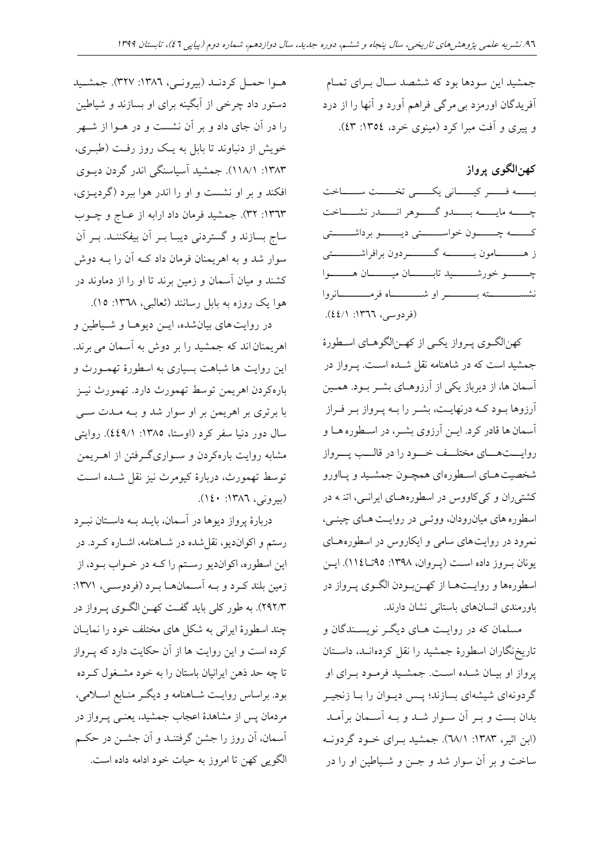جمشید این سودها بود که ششصد سال بهرای تمام آفریدگان اورمزد بی مرگی فراهم آورد و آنها را از درد و پیری و آفت مبرا کرد (مینوی خرد، ١٣٥٤: ٤٣).

**کهنالگوی پرواز**

بسسه فسسر کیسسانی یکسسی تخسست سسساخت چسسه مایسسه بسسدو گسسوهر انسسدر نشسساخت کــــــــه چـــــــون خواســـــــتی دیــــــــو برداشـــــــتی ز هــــــــــــامون بـــــــــــــه گـــــــــــــردون برافراشـــــــــــتی چه در خور شدد دید تابستان میدددان هستندوا نشسددددددددت بددددددددر او شدددددددداه فرمددددددددانروا (فردوسی، ١٣٦٦: ٤٤/١).

کهن الگوی پرواز یکسی از که ن الگوهای اسطورهٔ جمشید است که در شاهنامه نقل شـده اسـت. پـرواز در آسمان ها، از دیرباز یکی از آرزوهـای بشـر بـود. همـین آرزوها بود کـه درنهایـت، بشـر را بـه پـرواز بـر فـراز آسمان ها قادر کرد. ایــن آرزوی بشــر، در اسـطوره هــا و روایستهسای مختلسف خسود را در قالسب پسرواز شخصیت هـای اسـطوره ای همچـون جمشـید و پـااورو کشتیران و کیکاووس در اسطورههای ایرانسی، اتنه در اسطوره های میانرودان، ووئمی در روایت هـای چینـی، نمرود در روایت های سامی و ایکاروس در اسطوره هـای یونان به وز داده است (پروان، ۱۳۹۸: ۹۵تا 11٤). ایس اسطورهها و روایـتهـا از کهـنبودن الگـوی پـرواز در باورمندی انسانهای باستانی نشان دارند.

مسلمان که در روایت هـای دیگـر نویسـندگان و تاریخنگاران اسطورۀ جمشیا را نقل کردهاندا، داسدتان پرواز او بیـان شـده اسـت. جمشـید فرمـود بـرای او گردونهای شیشهای بسازند؛ پـس دیـوان را بـا زنجیـر بدان بست و بـر آن سـوار شـد و بـه آسـمان برآمـد )ابن اثیر، :1383 68/1(. جمشیا بدرای خدود گردوند ساخت و بر آن سوار شد و جــن و شــیاطین او را در

هـوا حمـل کردنـد (بیرونـی، ١٣٨٦: ٣٢٧). جمشـید دستور داد چرخی از آبگین برای او بسازنا و شیاطین را در آن جای داد و بر آن نشست و در هــوا از شــهر خویش از دنباوند تا بابل به یک روز رفت (طبـری، :1383 118/1(. جمشیا آسیاسنگی انار گردن دیدوی افکند و بر او نشست و او را اندر هوا ببرد (گردیــزی، ۱۳٦۳: ۳۲). جمشید فرمان داد ارابه از عــاج و چــوب ساج بسازند و گستردنی دیبـا بــر آن بیفکننــد. بــر آن سوار شد و به اهر یمنان فرمان داد کــه آن را بــه دوش کشنا و میان آسمان و زمین برنا تا او را از دماونا در هوا یک روزه به بابل رسانند (ثعالبی، ۱۳٦۸: ۱۵).

در روایت های بیانشده، ایـن دیوهـا و شـیاطین و اهریمنان اند که جمشید را بر دوش به آسمان می برند. این روایت ها شباهت بسیاری به اسطورۀ تهمـورث و بارهکردن اهریمن توسط تهمورث دارد. تهمورث نیـز با برتری بر اهریمن بر او سوار شد و بـه مـدت سـی سال دور دنیا سفر کرد )اوستا، :1385 449/1(. روایتی مشابه روایت بارهکردن و سـواریگـرفتن از اهـریمن توسط تهمورث، دربارۀ کیومرث نیز نقل شداه اسد )بیرونی، :1386 140(.

دربارۀ پرواز دیوها در آسمان، بایلد به داستان نبرد رستم و اکواندیو، نقل شده در شـاهنامه، اشـاره کــرد. در این اسطوره، اکواندیو رسدتم را کد در خدواب بدود، از زمین بلنا کدرد و بد آسدمان دا بدرد )فردوسدی، :1371 292/3(. ب طور کلی بایا گفد کهدن الگدوی پدرواز در چند اسطورهٔ ایرانی به شکل های مختلف خود را نمایـان کرده است و این روایت ها از آن حکایت دارد که پـرواز تا چه حد ذهن ایرانیان باستان را به خود مشـخول کــرده بود. براساس روایت شـاهنامه و دیگـر منـابع اسـلامی، مردمان پس از مشاهدهٔ اعجاب جمشید، یعنمی پـرواز در آسمان، آن روز را جشن گرفتندا و آن جشدن در حکدم الگویی کهن تا امروز به حیات خود ادامه داده است.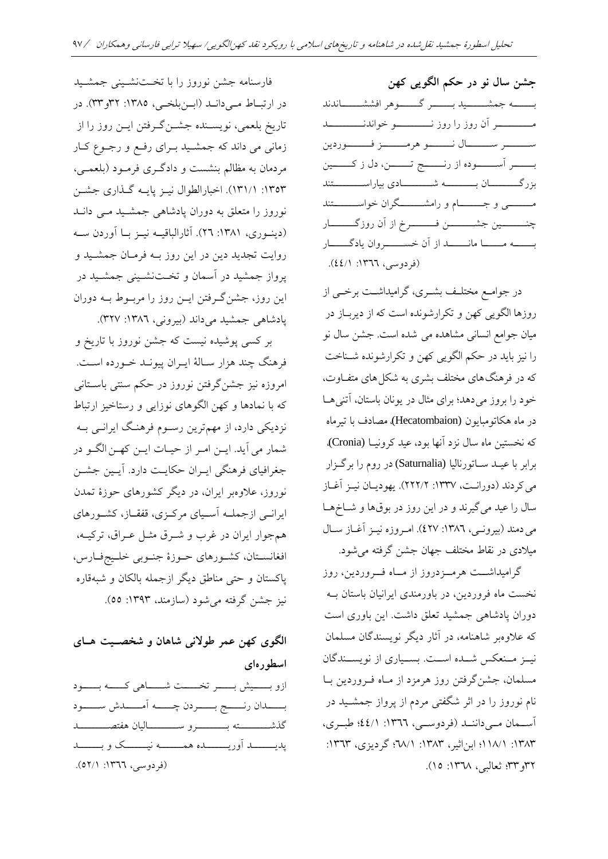فارسنامه جشن نوروز را با تختنشینی جمشید در ارتباط میداند (ابرنبلخی، ۱۳۸۵: ۳۲و۳۳). در تاریخ بلعمی، نویسدناه جشدن گدرفتن ایدن روز را از زمانی می داند که جمشید بـرای رفـع و رجـوع کـار مردمان ب مظالم بنشس و دادگدری فرمدود )بلعمدی، ۱۳۵۳: ۱۳۱/۱). اخبارالطوال نیـز پایـه گـذاری جشـن نوروز را متعلق به دوران پادشاهی جمشید می دان (دینوری، ١٣٨١: ٢٦). آثارالباقیـه نیـز بـا آوردن سـه روایت تجدید دین در این روز بــه فرمـان جمشــید و پرواز جمشیا در آسمان و تخد نشدینی جمشدیا در این روز، جشنگدرفتن ایدن روز را مربدوط بد دوران پادشاهی جمشید میداند (بیرونی، ۱۳۸۲: ۳۲۷).

بر کسی پوشیده نیست که جشن نوروز با تاریخ و فرهنگ چند هزار سـالۀ ایــران پیونــد خــورده اســت. امروزه نیز جشنگرفتن نوروز در حکم سنتی باسدتانی که با نمادها و کهن الگوهای نوزایی و رستاخیز ارتباط نزدیکی دارد، از مهمترین رسدوم فر ند ایراندی بد شمار میآیا. ایدن امدر از حیدات ایدن کهدن الگدو در جغرافیای فرهنگی ایـران حکایـت دارد. آیـین جشــن نوروز، عالوهبر ایران، در دیگر کشور ای حوزۀ تمان ایراندی ازجملد آسدیای مرکدزی، قفقداز، کشدور ای مجوار ایران در غرب و شدرق مثدل عدراق، ترکید ، افغانسـتان، کشـورهای حـوزۀ جنـوبی خلـيجفـارس، پاکستان و حتی مناطق دیگر ازجمله بالکان و شبهقاره نیز جشن گرفته می شود (سازمند، ۱۳۹۳: ٥٥).

# **الگوی کهن عمر طوالنی شاهان و شخصوی هوای اسطورهای**

ازو بسسیش بسسر تخسست شسساهی کسسه بسسود بسدان رنسسج بسسردن چسسه آمسسدش سمسود گهشددددددددت بددددددددرو سددددددددالیان فتصددددددددا یدیـــــــــــد آوریــــــــــده همـــــــــه نیــــــــــک و بـــــــــد (فردوسی، ١٣٦٦: ٥٢/١).

**جشن سال نو در حکم الگویی کهن** بسسسه جمشسسسید بسسسر گسسوهر افششمسساندند مسسمسسر آن روز را روز نـــــــــــــو خواندنــــــــــــد ستمسد سددال ندد و هرمدد زفت دوردین بسسدر آسسسوده از رنسسج تسسن، دل ز کسسین بزرگددددددددان بدددددددد شددددددددادی بیاراسددددددددتنا مـــــــــــی و جـــــــــــام و رامشـــــــــگران خواســـــــــتند چنــــــــــين جشـــــــــــن فـــــــــــرخ از آن روزگـــــــــار بــــــه مــــــــــا مانــــــــد از آن خســــــــروان یادگـــــــار (فردوسی، ١٣٦٦: ٤٤/١).

در جوامـع مختلـف بشـری، گرامیداشــت برخــی از روزها الگویی کهن و تکرارشونده است که از دیربـاز در میان جوامع انسانی مشاهده می شده است. جشن سال نو را نیز بایا در حکم الگویی کهن و تکرارشوناه شدناخ که در فرهنگ های مختلف بشری به شکل های متفــاوت، خود را بروز میدهد؛ برای مثال در یونان باستان، آتنی هـا در ماه هکاتومبایون (Hecatombaion)، مصادف با تیرماه که نخستین ماه سال نزد آنها بود، عید کرونیــا (Cronia). برابر با عیدا سداتورنالیا (Saturnalia (در روم را برگدزار می کردند (دورانت، ۱۳۳۷: ۲۲۲/۲). یهودیان نیز آغاز سال را عید میگیرند و در این روز در بوقها و شـاخهـا می دمند (بیرونی، ١٣٨٦: ٤٢٧). امروزه نیز آغاز سال میلادی در نقاط مختلف جهان جشن گرفته می شود.

گرامیداشــت هرمــزدروز از مــاه فــروردین، روز نخست ماه فروردین، در باورمندی ایرانیان باستان ب دوران پادشاهی جمشید تعلق داشت. این باوری است که علاوهبر شاهنامه، در آثار دیگر نویسندگان مسلمان نیمز مسنعکس شدده اسست. بسمیاری از نویسسندگان مسلمان، جشنگرفتن روز رمزد از مداه فدروردین بدا نام نوروز را در اثر شگفتی مردم از پرواز جمشدیا در آسـمان مـیداننـد (فردوسـی، ١٣٦٦: ٤٤/١؛ طبـری، :1383 118/1؛ ابناثیر، :1383 68/1؛ گردیزی، :1363 ٣٦و ٣٣؛ ثعالبی، ١٣٦٨: ١٥).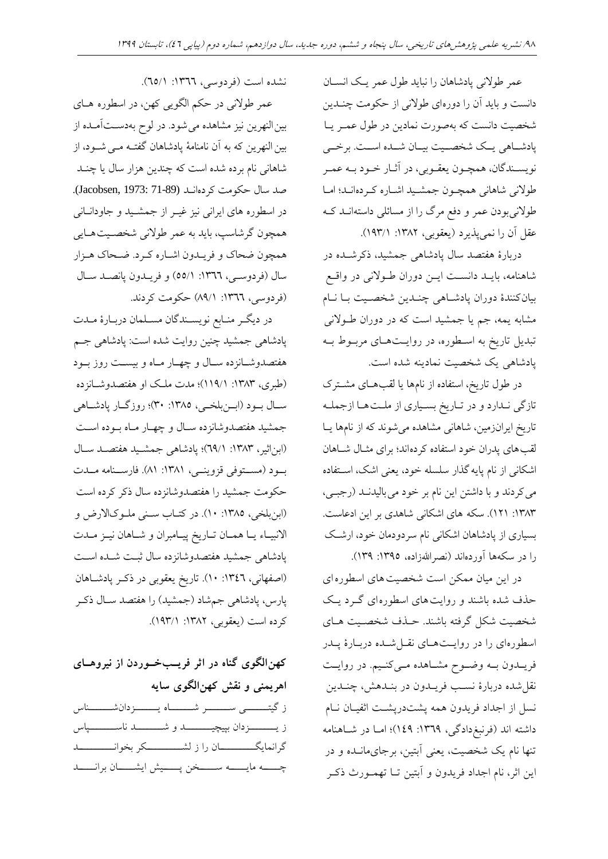عمر طولانی پادشاهان را نباید طول عمر یک انسـان دانست و باید آن را دورهای طولانی از حکومت چنــدین شخصیت دانست که بهصورت نمادین در طول عمـر یـا پادشاهی یک شخصـیت بیـان شـده اسـت. برخـی نویسدناگان، مچدون یعقدوبی، در آثدار خدود بد عمدر طولانی شاهانی همچون جمشید اشاره کردهاند؛ اما طولانیبودن عمر و دفع مرگ را از مسائلی داستهانــد کــه عقل آن را نمیپذیرد (یعقوبی، ۱۳۸۲: ۱۹۳/۱).

دربارهٔ هفتصد سال پادشاهی جمشید، ذکرشـده در شاهنامه، بایـد دانسـت ایــن دوران طــولانی در واقــع بیانکنندۀ دوران پادشاهی چنـدین شخصـیت بـا نـام مشابه یمه، جم یا جمشید است که در دوران طـولانی تبدیل تاریخ به اسطوره، در روایـتهـای مربـوط بـه یادشاهی یک شخصیت نمادینه شده است.

در طول تاریخ، استفاده از نامها یا لقبهای مشترک تازگی نـدارد و در تـاریخ بسـیاری از ملـتها ازجملـه تاریخ ایرانزمین، شاهانی مشاهده میشوند که از نامها یـا لقب های پدران خود استفاده کردهاند؛ برای مثـال شــاهان اشکانی از نام پایه گذار سلسله خود، یعنی اشک، استفاده می کردند و با داشتن این نام بر خود می بالیدنـد (رجبـی، ۱۳۸۳: ۱۲۱). سکه های اشکانی شاهدی بر این ادعاست. بسیاری از پادشاهان اشکانی نام سردودمان خود، ارشک را در سکهها آوردهاند (نصراللهزاده، ١٣٩٥: ١٣٩).

در این میان ممکن است شخصیت های اسطورهای حذف شده باشند و روایت های اسطورهای گـرد یـک شخصیت شکل گرفته باشند. حـذف شخصـیت هـای اسطورهای را در روایتهای نقل شده دربارهٔ پدر فریــدون بــه وضــوح مشــاهده مــیکنــیم. در روایــت نقلشاه دربارۀ نسدب فریداون در بندا ش، چنداین نسل از اجداد فریدون همه پشتدریشت اثفیـان نــام داشته اند (فرنبغ دادگی، ۱۳٦۹: ۱٤۹)؛ امـا در شـاهنامه تنها نام یک شخصیت، یعنی آبتین، برجایمان<mark>ـده و در</mark> این اثر، نام اجااد فریاون و آبتین تدا تهمدورث ذکدر

نشده است (فردوسی، ١٣٦٦: ٦٥/١).

عمر طوالنی در حکم الگویی کهن، در اسطوره دای بین النهرین نیز مشاهده می شود. در لوح بهدسـتآمـده از بین النهرین که به آن نامنامۀ پادشاهان گفتــه مــی شــود، از شاهانی نام برده شده است که چندین هزار سال یا چنــد صد سال حکومت کردهاند (Jacobsen, 1973: 71-89). در اسطوره های ایرانی نیز غیــر از جمشــید و جاودانــانی همچون گرشاسپ، باید به عمر طولانی شخصـیت هـایی مچون ضحاک و فریداون اشداره کدرد . ضدحاک دزار سال )فردوسدی، :1366 55/1( و فریداون پانصدا سدال (فردوسی، ١٣٦٦: ٨٩/١) حکومت کردند.

در دیگر منـابع نویسـندگان مسـلمان دربـارۀ مـدت پادشاهی جمشید چنین روایت شده است: پادشاهی جـم فتصاوشدانزده سدال و چهدار مداه و بیسد روز بدود (طبری، ۱۳۸۳: ۱۱۹/۱)؛ مدت ملک او هفتصدوشـانزده سال بود (ابـنبلخـی، ١٣٨٥: ٣٠)؛ روزگـار پادشـاهی جمشید هفتصدوشانزده سـال و چهـار مـاه بـوده اسـت (ابناثیر، ١٣٨٣: ٦٩/١)؛ پادشاهی جمشید هفتصد سال بود (مستوفی قزوینمی، ۱۳۸۱: ۸۱). فارسـنامه مـدت حکومت جمشید را هفتصدوشانزده سال ذکر کرده است )ابنبلخی، :1385 10(. در کتداب سدنی ملدوک االرض و الانبیـاء یـا همـان تـاریخ پیـامبران و شـاهان نیـز مـدت پادشاهی جمشید هفتصدوشانزده سال ثبت شـده اسـت (اصفهانی، ١٣٤٦: ١٠). تاریخ یعقوبی در ذکر پادشاهان پارس، پادشاهی جمهشاد (جمشید) را هفتصد سـال ذکـر کرده است (یعقوبی، ۱۳۸۲: ۱۹۳/۱).

**کهنالگوی گناه در اثر فریو خووردن از نیروهوای اهریمنی و نقش کهنالگوی سایه** ز گ<del>یتددی سدد بر شدد ا</del>مدد دانشدداس ز ی<mark>سمسستردان بپیچیسسسد و شسمسسد ناسسسسس</mark>یاس گرانمایگددددددددددان را ز لشددددددددددکر بخوانددددددددددا چــــــه مایــــــــه ســـــــخن پـــــــیش ایشــــــان برانــــــد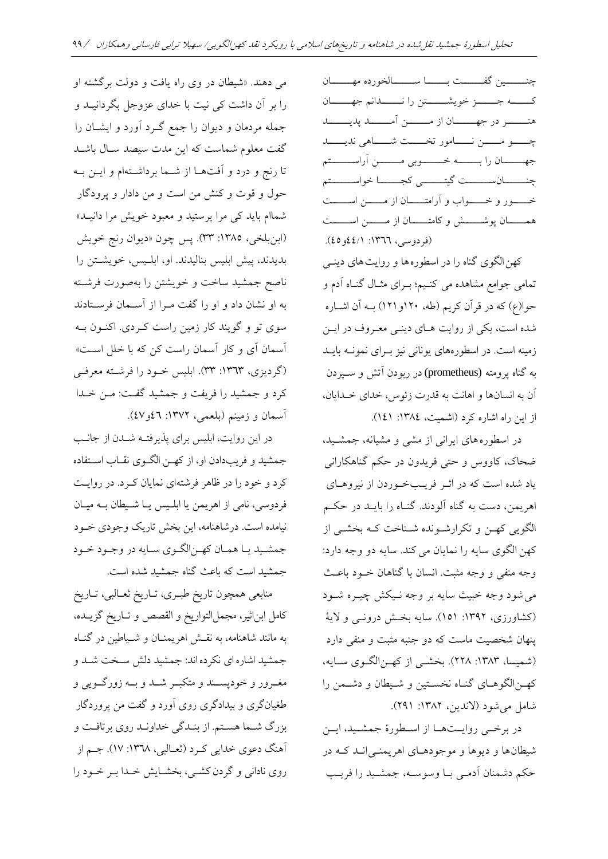چنسمین گفسست بسسا سمسسالخورده مهسسان کـــــه جــــــز خویشــــــتن را نـــــــدانم جهــــــان نددددددر در جهددددددان از مددددددن آمددددددا پایددددددا چسدو مسسن نسسامور تخسست شسساهی ندیسسد جه سان را به خدد وبی مسمن آراسسستم چنـــــــــــانســـــــــت گیتــــــــــى کجـــــــــا خواســـــــتم خــــور و خـــــواب و آرامتـــــان از مــــــن اســـــت همـــــان پوشــــــش و کامتــــــان از مـــــــن اســــــت (فردوسی، ١٣٦٦: ٤٤/١).

کهن الگوی گناه را در اسطوره ها و روایت های دینــ ِ تمامی جوامع مشاهده می کنیم؛ به ای مثبال گنباه آدم و حوا(ع) که در قرآن کریم (طه، ۱۲۰و۱۲۱) بــه آن اشــاره شده است، یکی از روایت هـای دینـی معـروف در ایــن زمینه است. در اسطورههای یونانی نیز بـرای نمونــه بایــد به گناه پرومته (prometheus) در ربودن آتش و سبیردن آن به انسانها و اهانت به قدرت زئوس، خدای خـدایان، از این راه اشاره کرد (اشمیت، ١٣٨٤: ١٤١).

در اسطوره های ایرانی از مشی و مشیانه، جمشید، ضحاک، کاووس و حتی فریاون در حکم گنا کارانی یاد شده است که در اثـر فریـبخـوردن از نیروهـای اهریمن، دست به گناه آلودند. گنـاه را بایــد در حکــم الگویی کهـن و تکرارشـونده شـناخت کـه بخشـی از کهن الگوی سایه را نمایان می کند. سایه دو وجه دارد: وجه منفی و وجه مثبت. انسان با گناهان خـود باعـث می شود وجه خبیث سایه بر وجه نـیکش چیــره شــود (کشاورزی، ۱۳۹۲: ۱۵۱). سایه بخش درونبی و لایۀ ینهان شخصیت ماست که دو جنبه مثبت و منفی دارد (شمیسا، ۱۳۸۳: ۲۲۸). بخشـی از کهـن|لگـوی سـایه، کهدن الگو دای گنداه نخسدتین و شدیطان و دشدمن را شامل می شود (لاندین، ۱۳۸۲: ۲۹۱).

در برخـی روایــتهــا از اسـطورۀ جمشــید، ایــن شیطان ها و دیوها و موجودهـای اهریمنـی انــد کــه در حکم دشمنان آدمدی بدا وسوسد ، جمشدیا را فریدب

می دهند. «شیطان در وی راه یافت و دولت برگشته او را بر آن داشت کی نیت با خدای عزوجل بگردانیـد و جمله مردمان و دیوان را جمع گــرد آورد و ایشــان را گفت معلوم شماست که این مدت سیصد سـال باشـد تا رنج و درد و آفتهــا از شــما برداشــتهام و ایــن بــه حول و قوت و کنش من اس و من دادار و پرودگار شماام باید کی مرا پرستید و معبود خویش مرا دانیـد» (ابنبلخی، ١٣٨٥: ٣٣). پس چون «دیوان رنج خویش بدیدند، پیش ابلیس بنالیدند. او، ابلـیس، خویشـتن را ناصح جمشید ساخت و خویشتن را بهصورت فرشــته به او نشان داد و او را گفت مـرا از آســمان فرسـتادند سوی تو و گویند کار زمین راست کردی. اکنون بـه آسمان آی و کار آسمان راست کن که با خلل است» (گردیزی، ١٣٦٣: ٣٣). ابلیس خـود را فرشـته معرفـی کرد و جمشید را فریفت و جمشید گفـت: مـن خــدا آسمان و زمینم )بلعمی، :1372 46و47(.

در این روایت، ابلیس برای پذیرفتـه شـدن از جانـب جمشیا و فریبدادن او، از کهدن الگدوی نقداب اسدتفاده کرد و خود را در ظاهر فرشتهای نمایان کـرد. در روایـت فردوسی، نامی از اهریمن یا ابلـیس یـا شـیطان بـه میـان نیامده است. درشاهنامه، این بخش تاریک وجودی خـود جمشـید یـا همـان کهـنالگـوی سـایه در وجـود خـود جمشید است که باعث گناه جمشید شده است.

منابعی همچون تاریخ طبری، تـاریخ ثعـالبی، تـاریخ کامل ابناثیر، مجملالتواریخ و القصص و تداریخ گزیداه، به مانند شاهنامه، به نقـش اهریمنــان و شــیاطین در گنــاه جمشیا اشارهای نکردهانا: جمشیا دلش سدخ شدا و مغــرور و خودپســند و متکبــر شــد و بــه زورگــویی و طغیانگری و بیدادگری روی آورد و گفت من پروردگار بزر شدما سدتم . از بنداگی خااوندا روی برتافد و آهنگ دعوی خدایی کـرد (ثعـالبی، ١٣٦٨: ١٧). جـم از روی نادانی و گردن کشمی، بخشایش خلدا به خود را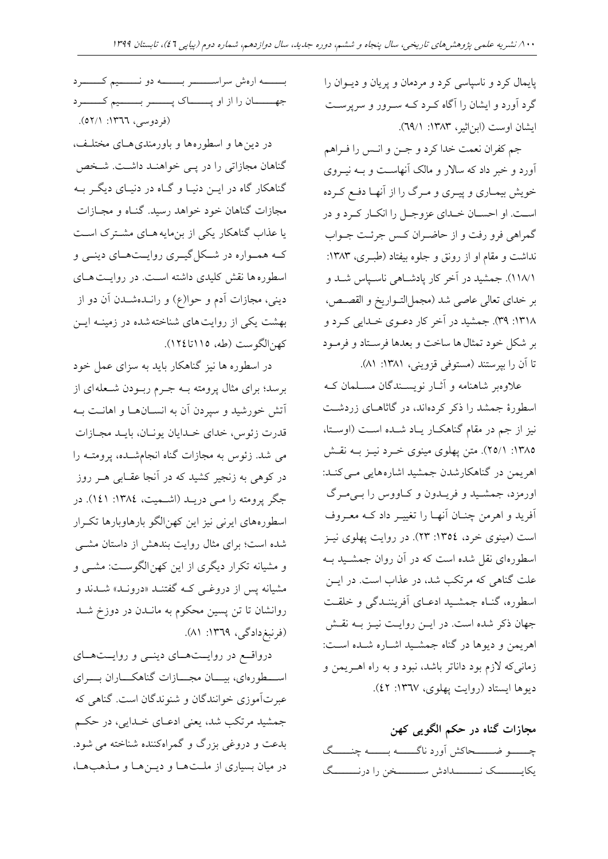پایمال کرد و ناس اسی کرد و مردمان و پریان و دیدوان را گرد آورد و ایشان را آگاه کدرد کد سدرور و سرپرسد ایشان اوست (ابن اثیر، ۱۳۸۳: ۲۹/۱).

جم کفران نعمت خدا کرد و جـن و انـس را فـراهم آورد و خبر داد که سالار و مالک آنهاست و بـه نیــروی خویش بیمـاری و پیـری و مـرگ را از آنهـا دفـع کـرده اسد . او احسدان خداای عزوجدل را انکدار کدرد و در گمراهی فرو رفت و از حاضـران کـس جرئـت جـواب نداشت و مقام او از رونق و جلوه بیفتاد (طبـری، ۱۳۸۳: ۱۱۸/۱). جمشید در آخر کار پادشاهی ناسباس شد و بر خدای تعالی عاصی شد (مجمل|لتـواریخ و القصـص، :1318 39(. جمشیا در آخر کار دعدوی خداایی کدرد و بر شکل خود تمثال ها ساخت و بعدها فرسـتاد و فرمـود تا آن را بیرستند (مستوفی قزوینی، ۱۳۸۱: ۸۱).

علاوهبر شاهنامه و آثــار نویســندگان مســلمان کــه اسطورهٔ جمشد را ذکر کردهاند، در گاثاهـای زردشـت نیز از جم در مقام گناهکار یـاد شـده اسـت (اوسـتا، :1385 25/1(. متن پهلوی مینوی خدرد نیدز بد نقدش اهریمن در گناهکارشدن جمشید اشارههایی مـی کنـد: اورمزد، جمشدیا و فریداون و کداووس را بدی مدر آفرید و اهرمن چنـان آنهـا را تغییـر داد کـه معـروف است (مینوی خرد، ١٣٥٤: ٢٣). در روایت پهلوی نیـز اسطورهای نقل شده است که در آن روان جمشـید بــه علت گناهی که مرتکب شد، در عذاب است. در ایــن اسطوره، گنداه جمشدیا ادعدای آفریننداگی و خلقد جهان ذکر شده است. در ایـن روایـت نیـز بـه نقـش اهریمن و دیوها در گناه جمشید اشاره شده است: زمانیکه لازم بود داناتر باشد، نبود و به راه اهریمن و دیوها ایستاد (روایت پهلوی، ١٣٦٧: ٤٢).

**مجازات گناه در حکم الگویی کهن** چـــــــو ضـــــــحاکش آورد ناگـــــــه بـــــــه چنــــــگ یکایسسسک نسسدادش سسسسخن را درنسسسگ

بسده ارهش سراست در بسده دو نسمیم کسسرد جه ان را از او پــــاک پـــــر بـــــيم کـــــرد (فردوسی، ١٣٦٦: ٥٢/١).

در دین ها و اسطوره ها و باورمندی هـای مختلـف، گناهان مجازاتی را در پـی خواهنـد داشـت. شـخص گناهکار گاه در ایــن دنیــا و گــاه در دنیــای دیگــر بــه مجازات گناهان خود خواهد رسید. گنــاه و مجــازات یا عذاب گناهکار یکی از بنمایه هـای مشـترک اسـت کـه همـواره در شـکلگیـری روایـتهـای دینـی و اسطوره ها نقش کلیدی داشته اسـت. در روایـت هـای دینی، مجازات آدم و حوا(ع) و رانـدهشـدن آن دو از بهشت یکی از روایت های شناخته شده در زمینــه ایــن کهن|لگوست (طه، ۱۱۵تا۱۲٤).

در اسطوره ها نیز گناهکار باید به سزای عمل خود برسد؛ برای مثال پرومته بــه جــرم ربــودن شــعله|ی از آتش خورشید و سپردن آن به انســانهــا و اهانــت بــه قدرت زئوس، خدای خـدایان یونـان، بایـد مجـازات می شا. زئوس ب مجازات گناه انجامشداه، پرومتد را در کوهی به زنجیر کشید که در آنجا عقـابی هــر روز جگر پرومته را مـی دریــد (اشــمیت، ١٣٨٤: ١٤١). در اسطورههای ایرنی نیز این کهن|لگو بارهاوبارها تکـرار شده است؛ برای مثال روایت بندهش از داستان مشبی و مشیانه تکرار دیگری از این کهن الگوست: مشمی و مشیانه پس از دروغبی کـه گفتنــد «درونــد» شــدند و روانشان تا تن پسین محکوم ب ماندان در دوز شدا (فرنبغ دادگی، ۱۳٦۹: ۸۱).

درواقع در روایستهای دینمی و روایستهای اســـطورهای، بیـــان مجـــازات گناهکـــاران بـــرای عبرتآموزی خوانندگان و شنوندگان است. گناهی که جمشیا مرتکب شا، یعنی ادعدای خداایی، در حکدم بدعت و دروغی بزرگ و گمراهکننده شناخته می شود. در میان بسیاری از ملت هـا و دیــز هـا و مـذهب هـا،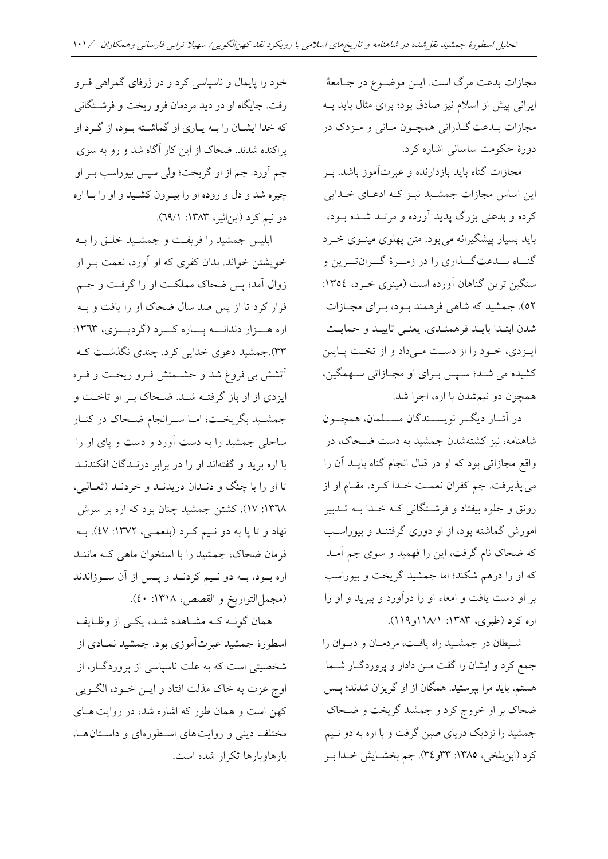مجازات بدعت مرگ است. ایــن موضــوع در جــامعۀ ایرانی پیش از اسالم نیز صادق بود؛ برای مثال بایا بد مجازات بـدعت گــذرانی همچــون مــانی و مــزدک در دورۀ حکوم ساسانی اشاره کرد.

مجازات گناه باید بازدارنده و عبرتآموز باشد. بـر این اساس مجازات جمشید نیـز کـه ادعـای خـدایی کرده و باعتی بزر پایا آورده و مرتدا شداه بدود، باید بسیار پیشگیرانه می بود. متن پهلوی مینوی خـرد گنــاه بــدعتگـــذاری را در زمـــرۀ گـــرانتـــرین و سنگین ترین گناهان آورده است (مینوی خـرد، ١٣٥٤: ٥٢). جمشید که شاهی فرهمند بود، بـرای مجـازات شدن ابتـدا بایـد فرهمنـدي، یعنـی تاییـد و حمایـت ایهزدی، خود را از دست می داد و از تخت پایین کشیاه می شدا؛ سد بدرای او مجدازاتی سدهمگین، مچون دو نیمشان با اره، اجرا شا.

در آثار دیگر نویسـندگان مسـلمان، همچـون شاهنامه، نیز کشتهشدن جمشید به دست ضـحاک، در واقع مجازاتی بود که او در قبال انجام گناه بایـد آن را می پذیرفت. جم کفران نعمت خـدا کــرد، مقــام او از رونق و جلوه بیفتاد و فرشدتگانی کد خداا بد تدابیر امورش گماشت بود، از او دوری گرفتندا و بیوراسدب که ضحاک نام گرفت، این را فهمید و سوی جم آمـد که او را درهم شکند؛ اما جمشید گریخت و بیوراسب بر او دست یافت و امعاء او را درآورد و ببرید و او را اره کرد (طبری، ۱۳۸۳: ۱۸/۱۱و ۱۱۹).

شدیطان در جمشدیا راه یافد ، مردمدان و دیدوان را جمع کرد و ایشان را گفت مـن دادار و پروردگــار شــما هستم، باید مرا بپرستید. همگان از او گریزان شدند؛ پـس ضحاک بر او خروج کرد و جمشیا گریخ و ضدحاک جمشید را نزدیک دریای صین گرفت و با اره به دو نـیم کرد (ابنبلخی، ١٣٨٥: ٣٣و٣٤). جم بخشـایش خـدا بـر

خود را پایمال و ناسیاسی کرد و در ژرفای گمراهی فور رفت. جایگاه او در دید مردمان فرو ریخت و فرشتگانی که خدا ایشـان را بــه یــاری او گماشــته بــود، از گــرد او پراکنده شدند. ضحاک از این کار آگاه شد و رو به سوی جم آورد. جم از او گریخت؛ ولی سپس بیوراسب بـر او چیره شا و دل و روده او را بیدرون کشدیا و او را بدا اره دو نیم کرد (ابن|ثیر، ۱۳۸۳: ۲۹/۱).

ابلیس جمشید را فریفت و جمشـید خلـق را بـه خویشتن خواند. بدان کفری که او آورد، نعمت بـر او زوال آمد؛ پس ضحاک مملکت او را گرفت و جـم فرار کرد تا از پس صد سال ضحاک او را یافت و بـه اره هسزار دندانسه پساره کسرد (گردیسزی، ۱۳٦۳: ۴۳).جمشید دعوی خدایی کرد. چندی نگذشت کـه آتشش بی فروغ شا و حشدمتش فدرو ریخد و فدره ایزدی از او باز گرفتد شدا . ضدحاک بدر او تاخد و جمشـید بگریخـت؛ امـا سـرانجام ضـحاک در کنـار ساحلی جمشید را به دست آورد و دست و پای او را با اره بریا و گفت انا او را در برابر درنداگان افکناندا تا او را با چنگ و دنـدان دریدنـد و خردنـد (ثعـالبی، ۱۳٦۸: ۱۷). کشتن جمشید چنان بود که اره بر سرش نهاد و تا یا به دو نـیم کـرد (بلعمـی، ١٣٧٢: ٤٧). بـه فرمان ضحاک، جمشید را با استخوان ماهی کـه ماننـد اره بود، بـه دو نـیم کردنـد و پـس از آن سـوزاندند (مجملالتواریخ و القصص، ١٣١٨: ٤٠).

همان گونــه کــه مشــاهده شــد، یکــی از وظــایف اسطورۀ جمشید عبرتآموزی بود. جمشید نمـادی از شخصیتی است که به علت ناسیاسی از پروردگــار، از اوج عزت به خاک مذلت افتاد و ایــن خــود، الگــویی کهن است و همان طور که اشاره شد، در روایت هـای مختلف دینی و روایت های اسطوره ای و داستان هـا، بارهاوبارها تکرار شده است.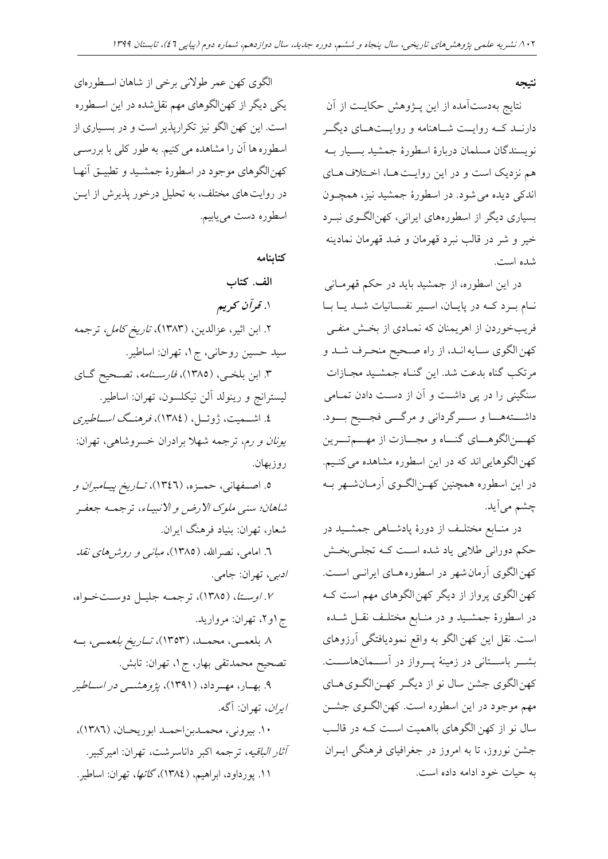**نتیجه**

نتایج بهدستآمده از این پـژوهش حکایـت از آن دارنــد کــه روایــت شــاهنامه و روایــتهــای دیگــر نویسناگان مسلمان دربارۀ اسطورۀ جمشیا بسدیار بد هم نزدیک است و در این روایت هـا، اخـتلاف هـای اندکی دیده می شود. در اسطورۀ جمشید نیز، همچـون بسیاری دیگر از اسطورههای ایرانی، کهن|لگوی نب د خیر و شر در قالب نبرد قهرمان و ضد قهرمان نمادینه شده است.

در این اسطوره، از جمشیا بایا در حکم قهرمدانی ندام بدرد کد در پایدان، اسدیر نفسدانیات شدا یدا بدا فریبخوردن از اهریمنان که نمـادی از بخـش منفـی کهن الگوی سـایه انـد، از راه صـحیح منحـرف شـد و مرتکب گناه بدعت شد. این گنـاه جمشـید مجـازات سنگینی را در پی داشد و آن از دسد دادن تمدامی داشددت ددا و سددرگردانی و مرگددی فجددی بددود. که زالگوهـای گنــاه و مجــازت از مهـــمتـــرین کهن الگوهایی اند که در این اسطوره مشاهده می کنـیم. در این اسطوره همچنین کهـنالگـوی آرمـانشـهر بـه چشم میآیا.

در منـابع مختلـف از دورۀ پادشـاهی جمشـید در حکم دورانی طالیی یاد شاه اسد کد تجلدی بخدش کهن الگوی آرمان شهر در اسطوره هـای ایرانـی اسـت. کهن الگوی پرواز از دیگر کهن الگوهای مهم است کـه در اسطورۀ جمشـید و در منـابع مختلـف نقـل شـده است. نقل این کهن الگو به واقع نمودیافتگی آرزوهای بشد باستانی در زمینۀ پسرواز در آسـمانهاســت. کهنالگوی جشن سال نو از دیگدر کهدن الگدوی دای مهم موجود در این اسطوره است. کهن الگوی جشـن سال نو از کهن الگوهای بااهمیت است کـه در قالـب جشن نوروز، تا به امروز در جغرافیای فرهنگی ایــران به حیات خود ادامه داده است.

الگوی کهن عمر طوالنی برخی از شا ان اسدطوره ای یکی دیگر از کهنالگو ای مهم نقلشاه در این اسدطوره است. این کهن الگو نیز تکرارپذیر است و در بسیاری از اسطوره ها آن را مشاهده می کنیم. به طور کلی با بررسـی کهن الگوهای موجود در اسطورۀ جمشـید و تطبیــق آنهــا در روایت های مختلف، به تحلیل درخور پذیرش از ایــن اسطوره دست مییابیم.

**کتابنامه**

**الف. کتاب .**1 **قرآن کریم** .2 ابن اثیر، عزالاین، )1383**(**، تاریخ کامل، ترجم سیا حسین روحانی، ج،1 تهران: اساطیر. ۳. ابن بلخبی، (۱۳۸۵)، ف*ارسـنامه*، تصـحیح گـای لیسترانج و رینولا آلن نیکلسون، تهران: اساطیر. ٤. اشــمیت، ژوئــل، (١٣٨٤)، فرهنــگ *اســـاطیری* ی*ونان و رم*، ترجمه شهلا برادران خسروشاهی، تهران: روزبهان. ۰. اصـفهانی، حمـزه، (۱۳٤٦)، *تــاریخ پیــامبران و* شاهان؛ سنی ملوک الارض و الانبیاء، ترجمه جعفر شعار، تهران: بنیاد فرهنگ ایران. ٦. امامی، نصرالله، (١٣٨٥)، *مبان<sub>ی</sub> و روش های نقد* ادبی، تهران: جامی. .7 اوسدتا ، )1385(، ترجمد جلیدل دوسد خدواه، ج ۱و۲، تهران: مروارید. .8 بلعمددی، محمددا، )1353(، تدداریخ بلعمددی، بدد تصحیح محمدتقی بهار، ج۱، تهران: تابش. ۹. بهبار، مهبرداد، (۱۳۹۱)، *پژوهشپی در اسباطی*ر *ایران*، تهران: آگه. .10 بیرونی، محمدابن احمدا ابوریحدان، )1386(، آثار *الباقیه*، ترجمه اکبر داناسرشت، تهران: امیرکبیر. ۱۱. پورداود، ابراهیم، (۱۳۸٤)، *گاتها*، تهران: اساطیر.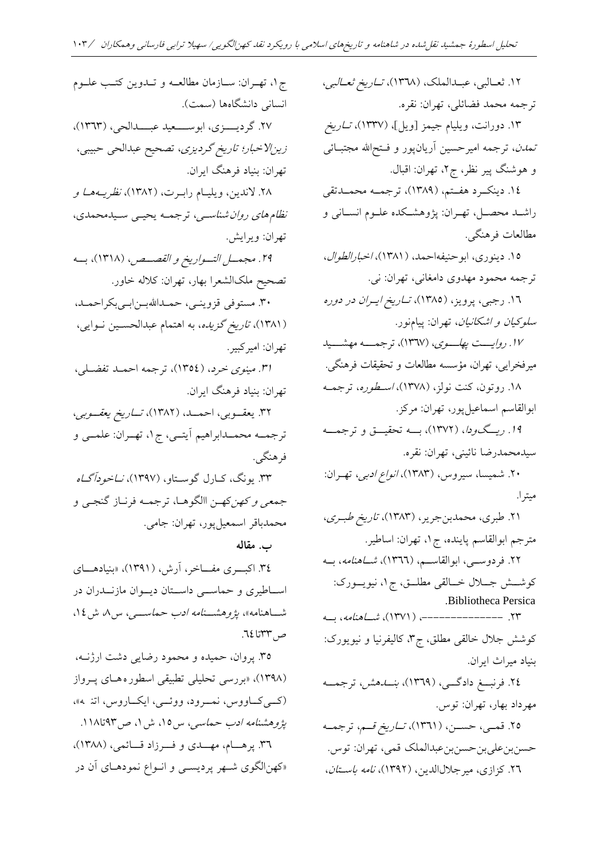۱۲. ثعــالبي، عبــدالملک، (۱۳۶۸)، *تــاریخ ثعــالبي*، ترجمه محمد فضائلی، تهران: نقره. ۱۳. دورانت، ویلیام جیمز [ویل]، (۱۳۳۷)، *تــاریخ* تم*دن*، ترجمه امیرحسین آریانپور و فـتحالله مجتبــائی و هوشنگ پیر نظر، ج۲، تهران: اقبال. .14 دینکددرد فددتم، )1389(، ترجمدد محمدداتقی راشدا محصدل، تهدران: پژو شدکاه علدوم انسدانی و مطالعات فرهنگی. ۱۵. دینوری، ابوحنیفه احمد، (۱۳۸۱)، *اخبار الطوال*، ترجمه محمود مهدوی دامغانی، تهران: نی. ۱٦. رجبی، پرویز، (۱۳۸۵)، *تـاریخ ایـران در دوره* سلوکیان <sup>و</sup> اشکانیان، تهران: پیامنور. ۱۷. ر*وایست پهلسوی*، (۱۳۶۷)، ترجمسه مهشسید میرفخرایی، تهران، مؤسس مطالعات و تحقیقات فر نگی. ۱۸. روتون، کنت نولز، (۱۳۷۸)، *اسطوره*، ترجمـه ابوالقاسم اسماعیلپور، تهران: مرکز. 19 *. ریسگودا*، (١٣٧٢)، بسه تحقیسق و ترجمسه سیامحمارضا نائینی، تهران: نقره. ۲۰. شمیسا، سیروس، (۱۳۸۳)، *انواع ادبی*، تهـران: ۲۱. طبری، محمدبنجریر، (۱۳۸۳)، *تاریخ طبری*، مترجم ابوالقاسم پایناه، ج،1 تهران: اساطیر. ۲۲. فردوســی، ابوالقاســـم، (۱۳۶۲)، *شــاهنامه*، بــه کوششش جللال خــالقی مطلــق، ج۱، نیویــورک: .Bibliotheca Persica ۲۲. -------------------- (۱۳۷۱)، *شباهنامه*، ب کوشش جالل خالقی مطلق، ج،3 کالیفرنیا و نیویورک: بنیاد میراث ایران. ٢٤. فرنبسغ دادگسی، (١٣٦٩)، *بنسا هش،* ترجمسه مهرداد بهار، تهران: توس. .<br>٢٥. قمـي، حســن، (١٣٦١)، *تــاريخ قــم*، ترجمــه حسنبنعلیبنحسنبنعبدالملک قمی، تهران: توس. ج،1 تهدران: سدازمان مطالعد و تداوین کتدب علدوم انسانی دانشگاهها (سمت). ٢٧. گردیسوزی، ابوسسعید عبسدالحی، (١٣٦٣)، زین|لاخبار؛ تاریخ گردیزی، تصحیح عبدالحی حبیبی، تهران: بنیاد فرهنگ ایران. ۲۸. لاندین، ویلیــام رابــرت، (۱۳۸۲)، *نظریــهمـا و* نظام های روان شناسبی، ترجمه یحیبی سیدمحمدی، تهران: ویرایش. .29 مجمددل التددواریخ <sup>و</sup> القصددص، )1318(، بدد تهران: امیرکبیر. تهران: بنیاد فرهنگ ایران. فر هنگے ِ. **ب. مقاله** ص ٣٣تا ٦٤.

۲٦. کزازی، میر جلالالدین، (۱۳۹۲)، *نامه باستان*،

میترا.

تصحیح ملکالشعرا بهار، تهران: کلاله خاور. .30 مستوفی قزویندی، حمدااهلل بدن ابدی بکراحمدا، (۱۳۸۱)، *تاریخ گزیده*، به اهتمام عبدالحســین نــوایی، .31 مینوی خرد، )1354(، ترجم احمدا تفضدلی، ۳۲. یعقسوبی، احمسد، (۱۳۸۲)، *تساریخ یعقسوبی*، ترجمـه محمـدابراهيم آيتــي، ج١، تهــران: علمــي و ۳۳. یونگ، کــارل گوســتاو، (۱۳۹۷)، *نــاخودآگــاه* جم*عی و کهن*کهـن االگوهـا، ترجمـه فرنـاز گنجـي و محماباقر اسمعیلپور، تهران: جامی. ۳٤. اکب ری مفــاخر، آرش، (۱۳۹۱)، «بنیادهـــای اســاطیری و حماســی داســتان دیــوان مازنــدران در شاهنامه»، *پژوهشهنامه ادب حماس<sub>تی</sub>، س۸* ش ۱۶، ۳۵. پروان، حمیده و محمود رضایی دشت ارژنــه، (۱۳۹۸)، «بررسی تحلیلی تطبیقی اسطوره های پرواز (کسی کساووس، نمسرود، ووئسی، ایکساروس، اتنه»، پژوهشن*امه ادب حماسی*، س۱۵، ش۱، ص۹۳تا۱۱۸. ۳٦. پرهـــام، مهـــدی و فـــرزاد قـــائمی، (١٣٨٨)، »کهنالگوی شدهر پردیسدی و اندواع نمود دای آن در